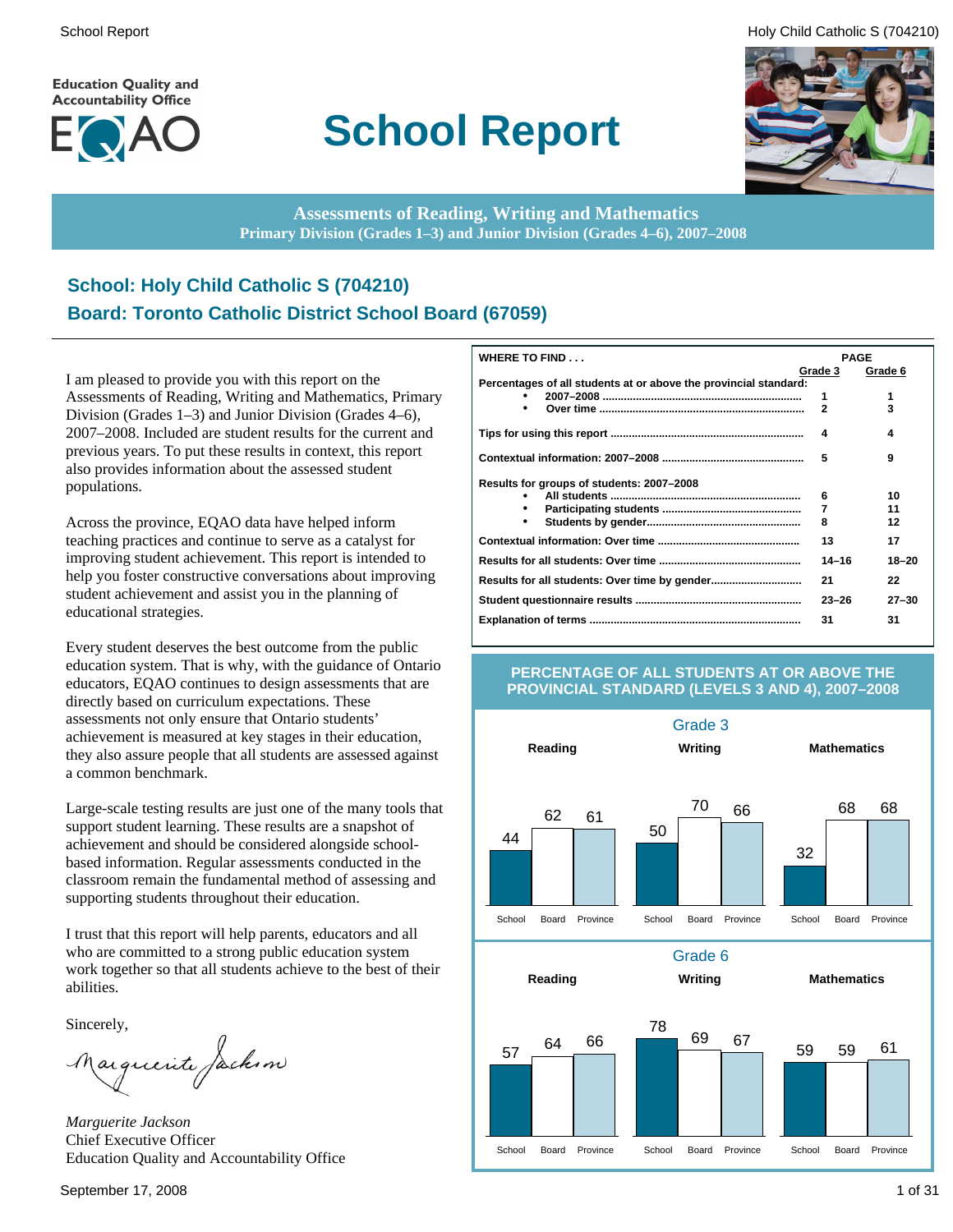**Education Quality and Accountability Office** 



# **School Report**

School Report **Example 2** and the set of the set of the set of the set of the set of the set of the set of the set of the set of the set of the set of the set of the set of the set of the set of the set of the set of the s



**Assessments of Reading, Writing and Mathematics Primary Division (Grades 1–3) and Junior Division (Grades 4–6), 2007–2008**

### **School: Holy Child Catholic S (704210) Board: Toronto Catholic District School Board (67059)**

I am pleased to provide you with this report on the Assessments of Reading, Writing and Mathematics, Primary Division (Grades 1–3) and Junior Division (Grades 4–6), 2007–2008. Included are student results for the current and previous years. To put these results in context, this report also provides information about the assessed student populations.

Across the province, EQAO data have helped inform teaching practices and continue to serve as a catalyst for improving student achievement. This report is intended to help you foster constructive conversations about improving student achievement and assist you in the planning of educational strategies.

Every student deserves the best outcome from the public education system. That is why, with the guidance of Ontario educators, EQAO continues to design assessments that are directly based on curriculum expectations. These assessments not only ensure that Ontario students' achievement is measured at key stages in their education, they also assure people that all students are assessed against a common benchmark.

Large-scale testing results are just one of the many tools that support student learning. These results are a snapshot of achievement and should be considered alongside schoolbased information. Regular assessments conducted in the classroom remain the fundamental method of assessing and supporting students throughout their education.

I trust that this report will help parents, educators and all who are committed to a strong public education system work together so that all students achieve to the best of their abilities.

Sincerely,

Marguerite Jackson

*Marguerite Jackson* Chief Executive Officer Education Quality and Accountability Office

| WHERE TO FIND                                                    | <b>PAGE</b>    |           |
|------------------------------------------------------------------|----------------|-----------|
|                                                                  | Grade 3        | Grade 6   |
| Percentages of all students at or above the provincial standard: |                |           |
|                                                                  | 1              | 1         |
| ٠                                                                | $\overline{2}$ | 3         |
|                                                                  | 4              | 4         |
|                                                                  | 5              | 9         |
| Results for groups of students: 2007–2008                        |                |           |
|                                                                  | 6              | 10        |
| ٠                                                                | 7              | 11        |
| $\bullet$                                                        | 8              | 12        |
|                                                                  | 13             | 17        |
|                                                                  | $14 - 16$      | $18 - 20$ |
|                                                                  | 21             | 22        |
|                                                                  | $23 - 26$      | $27 - 30$ |
|                                                                  | 31             | 31        |

#### **PERCENTAGE OF ALL STUDENTS AT OR ABOVE THE PROVINCIAL STANDARD (LEVELS 3 AND 4), 2007–2008**

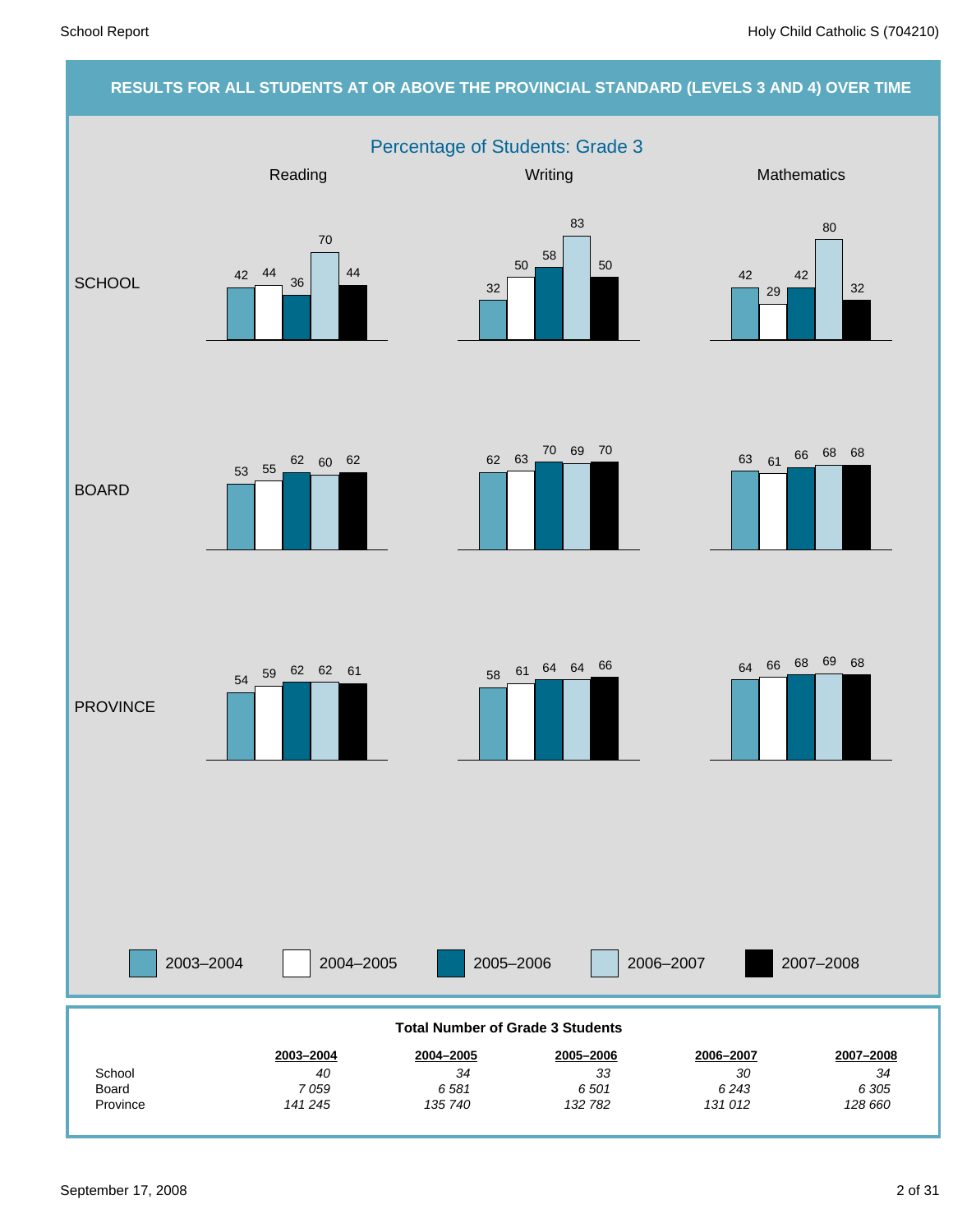#### **RESULTS FOR ALL STUDENTS AT OR ABOVE THE PROVINCIAL STANDARD (LEVELS 3 AND 4) OVER TIME**

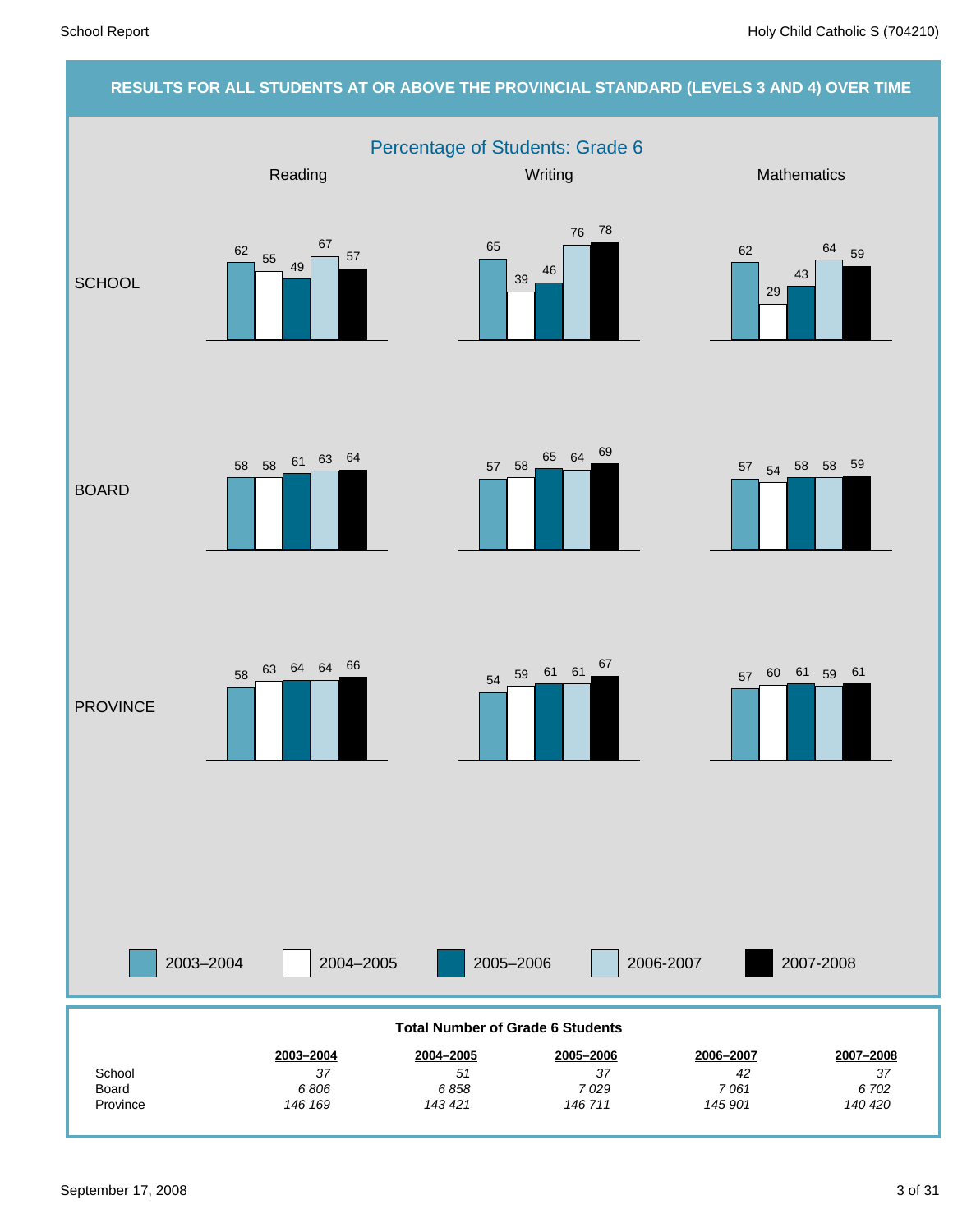#### **RESULTS FOR ALL STUDENTS AT OR ABOVE THE PROVINCIAL STANDARD (LEVELS 3 AND 4) OVER TIME** Percentage of Students: Grade 6 2003–2004 2004–2005 2005–2006 2006-2007 Reading Mathematics **Mathematics** Mathematics **Mathematics SCHOOL** BOARD **PROVINCE** 2007-2008 *140 420 6 702 37* **2007–2008** *145 901 7 061 42* **2006–2007** *146 711 7 029 37* **2005–2006** *143 421 6 858 51* **2004–2005** *146 169 6 806 37* **2003–2004** Province Board **School Total Number of Grade 6 Students** 62  $\frac{55}{49}$ 67 57 65 <sup>39</sup> <sup>46</sup> 76 78 62 29 43  $\frac{64}{59}$  $57$   $58$   $\begin{array}{|l|}65 & 64 & 69 \\ \hline \end{array}$   $57$   $54$   $58$   $58$   $59$ <sup>58</sup> <sup>58</sup> <sup>61</sup> <sup>63</sup> <sup>64</sup> <sup>54</sup> <sup>59</sup> <sup>61</sup> <sup>61</sup> <sup>67</sup> <sup>58</sup> <sup>63</sup> <sup>64</sup> <sup>64</sup> <sup>66</sup> 57 60 61 59 61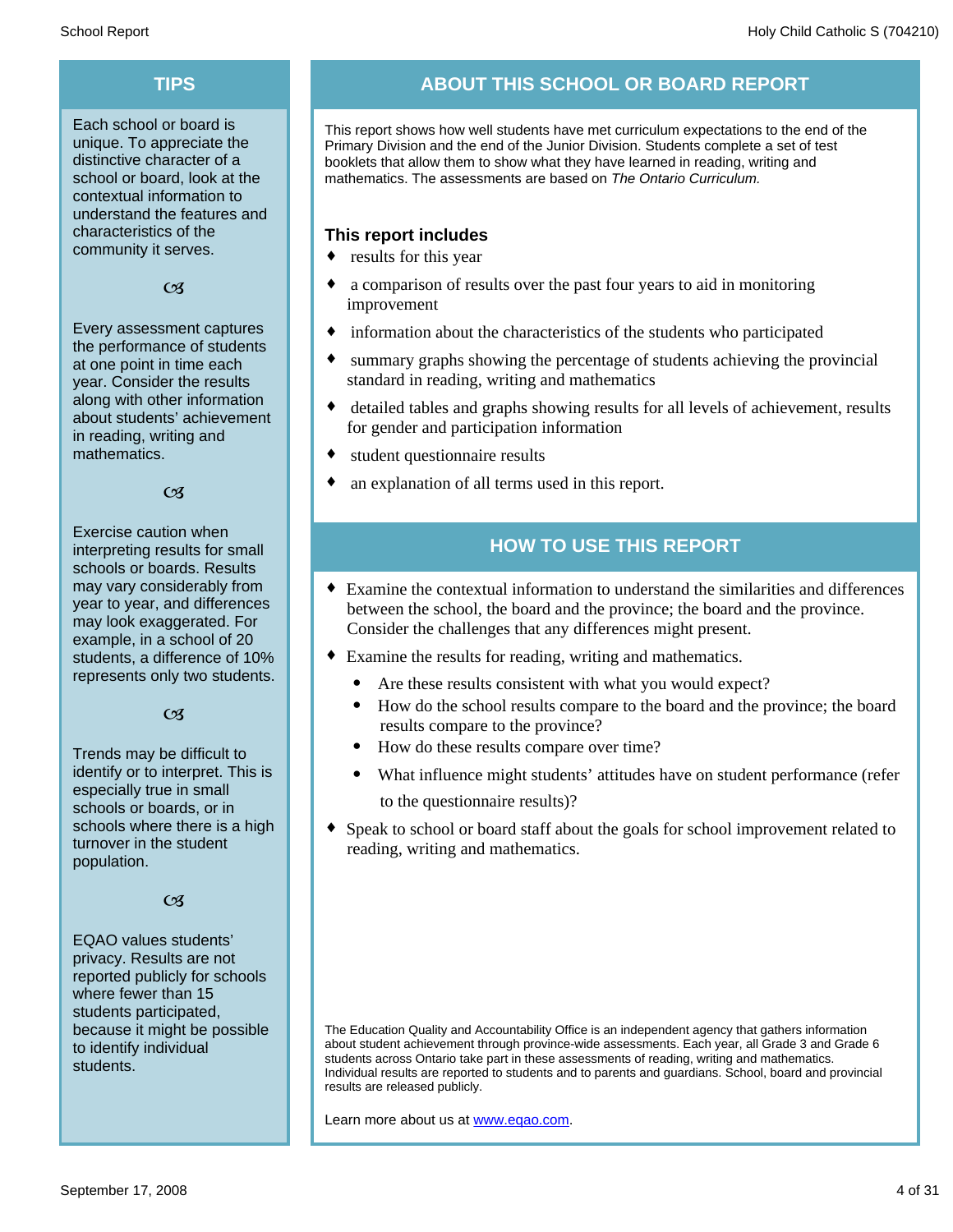Each school or board is unique. To appreciate the distinctive character of a school or board, look at the contextual information to understand the features and characteristics of the community it serves.

#### $C<sub>3</sub>$

Every assessment captures the performance of students at one point in time each year. Consider the results along with other information about students' achievement in reading, writing and mathematics.

#### $\alpha$

Exercise caution when interpreting results for small schools or boards. Results may vary considerably from year to year, and differences may look exaggerated. For example, in a school of 20 students, a difference of 10% represents only two students.

#### $C<sub>3</sub>$

Trends may be difficult to identify or to interpret. This is especially true in small schools or boards, or in schools where there is a high turnover in the student population.

#### $C<sub>3</sub>$

EQAO values students' privacy. Results are not reported publicly for schools where fewer than 15 students participated, because it might be possible to identify individual students.

### **TIPS ABOUT THIS SCHOOL OR BOARD REPORT**

This report shows how well students have met curriculum expectations to the end of the Primary Division and the end of the Junior Division. Students complete a set of test booklets that allow them to show what they have learned in reading, writing and mathematics. The assessments are based on *The Ontario Curriculum.*

#### **This report includes**

- $\bullet$  results for this year
- a comparison of results over the past four years to aid in monitoring improvement
- $\bullet$  information about the characteristics of the students who participated
- summary graphs showing the percentage of students achieving the provincial standard in reading, writing and mathematics
- detailed tables and graphs showing results for all levels of achievement, results for gender and participation information
- student questionnaire results
- an explanation of all terms used in this report.

### **HOW TO USE THIS REPORT**

- ¨ Examine the contextual information to understand the similarities and differences between the school, the board and the province; the board and the province. Consider the challenges that any differences might present.
- Examine the results for reading, writing and mathematics.
	- Are these results consistent with what you would expect?
	- · How do the school results compare to the board and the province; the board results compare to the province?
	- · How do these results compare over time?
	- What influence might students' attitudes have on student performance (refer to the questionnaire results)?
- Speak to school or board staff about the goals for school improvement related to reading, writing and mathematics.

The Education Quality and Accountability Office is an independent agency that gathers information about student achievement through province-wide assessments. Each year, all Grade 3 and Grade 6 students across Ontario take part in these assessments of reading, writing and mathematics. Individual results are reported to students and to parents and guardians. School, board and provincial results are released publicly.

Learn more about us at www.eqao.com.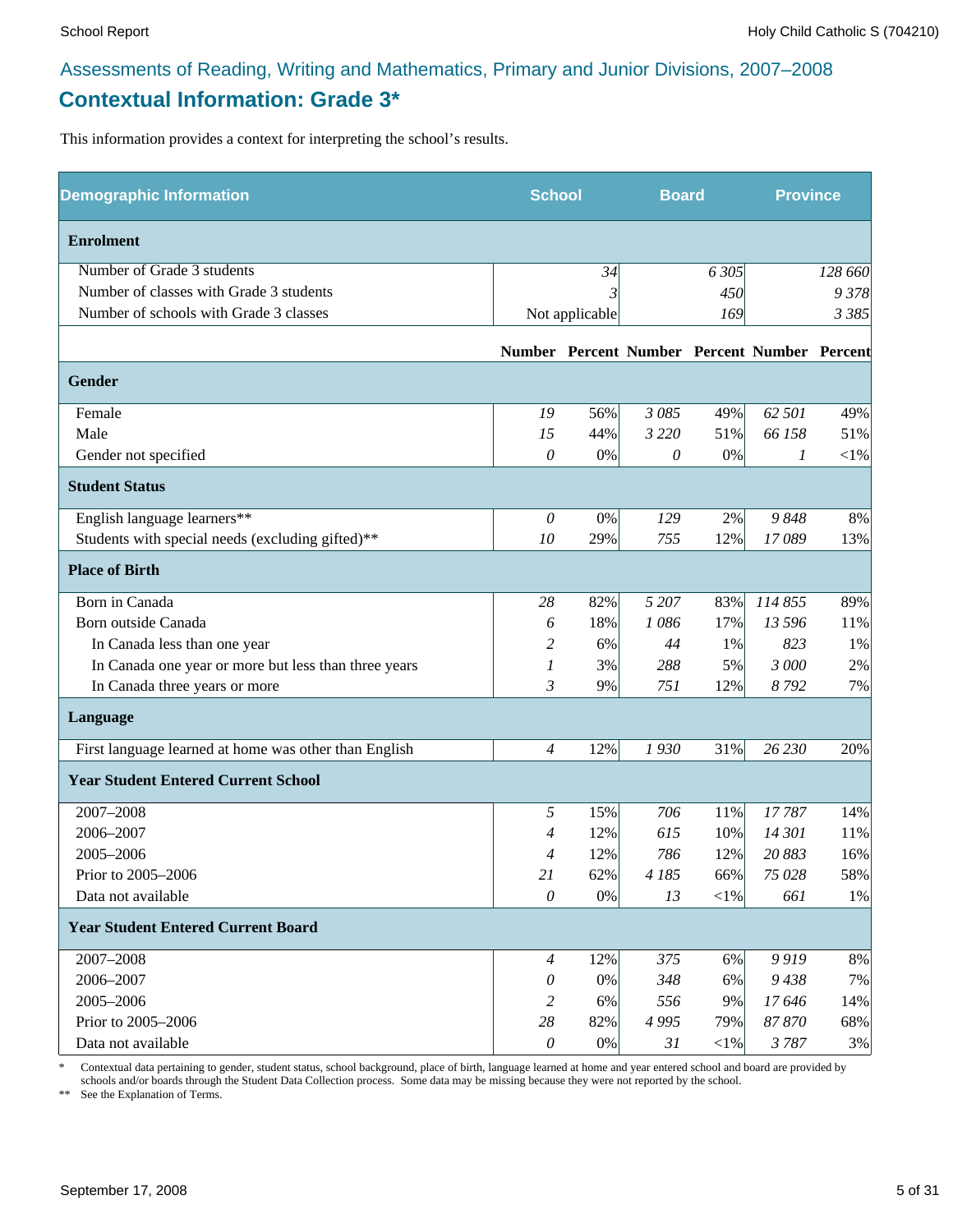### **Contextual Information: Grade 3\***

This information provides a context for interpreting the school's results.

| <b>Demographic Information</b>                        | <b>School</b>  |                | <b>Board</b> |            | <b>Province</b>                              |          |
|-------------------------------------------------------|----------------|----------------|--------------|------------|----------------------------------------------|----------|
| <b>Enrolment</b>                                      |                |                |              |            |                                              |          |
| Number of Grade 3 students                            |                | 34             |              | 6 3 0 5    |                                              | 128 660  |
| Number of classes with Grade 3 students               |                |                |              | 450        |                                              | 9378     |
| Number of schools with Grade 3 classes                |                | Not applicable |              | 169        |                                              | 3 3 8 5  |
|                                                       |                |                |              |            | Number Percent Number Percent Number Percent |          |
| Gender                                                |                |                |              |            |                                              |          |
| Female                                                | 19             | 56%            | 3 085        | 49%        | 62 501                                       | 49%      |
| Male                                                  | 15             | 44%            | 3 2 2 0      | 51%        | 66 158                                       | 51%      |
| Gender not specified                                  | 0              | $0\%$          | 0            | $0\%$      | 1                                            | ${<}1\%$ |
| <b>Student Status</b>                                 |                |                |              |            |                                              |          |
| English language learners**                           | $\theta$       | $0\%$          | 129          | 2%         | 9848                                         | 8%       |
| Students with special needs (excluding gifted)**      | 10             | 29%            | 755          | 12%        | 17089                                        | 13%      |
| <b>Place of Birth</b>                                 |                |                |              |            |                                              |          |
| Born in Canada                                        | 28             | 82%            | 5 207        | 83%        | 114 855                                      | 89%      |
| Born outside Canada                                   | 6              | 18%            | 1086         | 17%        | 13 596                                       | 11%      |
| In Canada less than one year                          | 2              | 6%             | 44           | 1%         | 823                                          | 1%       |
| In Canada one year or more but less than three years  | 1              | 3%             | 288          | 5%         | 3 000                                        | 2%       |
| In Canada three years or more                         | 3              | 9%             | 751          | 12%        | 8792                                         | 7%       |
| Language                                              |                |                |              |            |                                              |          |
| First language learned at home was other than English | $\overline{4}$ | 12%            | 1930         | 31%        | 26 230                                       | 20%      |
| <b>Year Student Entered Current School</b>            |                |                |              |            |                                              |          |
| 2007-2008                                             | 5              | 15%            | 706          | 11%        | 17787                                        | 14%      |
| 2006-2007                                             | 4              | 12%            | 615          | 10%        | 14 301                                       | 11%      |
| 2005-2006                                             | 4              | 12%            | 786          | 12%        | 20 883                                       | 16%      |
| Prior to 2005-2006                                    | 21             | 62%            | 4 185        | 66%        | 75 028                                       | 58%      |
| Data not available                                    | $\mathcal O$   | $0\%$          | 13           | $<$ 1%     | 661                                          | 1%       |
| <b>Year Student Entered Current Board</b>             |                |                |              |            |                                              |          |
| 2007-2008                                             | $\overline{4}$ | 12%            | 375          | $6\%$      | 9919                                         | $8\%$    |
| 2006-2007                                             | 0              | 0%             | 348          | 6%         | 9438                                         | 7%       |
| 2005-2006                                             | 2              | 6%             | 556          | 9%         | 17646                                        | 14%      |
| Prior to 2005-2006                                    | 28             | 82%            | 4 9 9 5      | 79%        | 87870                                        | 68%      |
| Data not available                                    | $\theta$       | $0\%$          | 31           | $<\!\!1\%$ | 3787                                         | 3%       |

\* Contextual data pertaining to gender, student status, school background, place of birth, language learned at home and year entered school and board are provided by schools and/or boards through the Student Data Collection process. Some data may be missing because they were not reported by the school.

\*\* See the Explanation of Terms.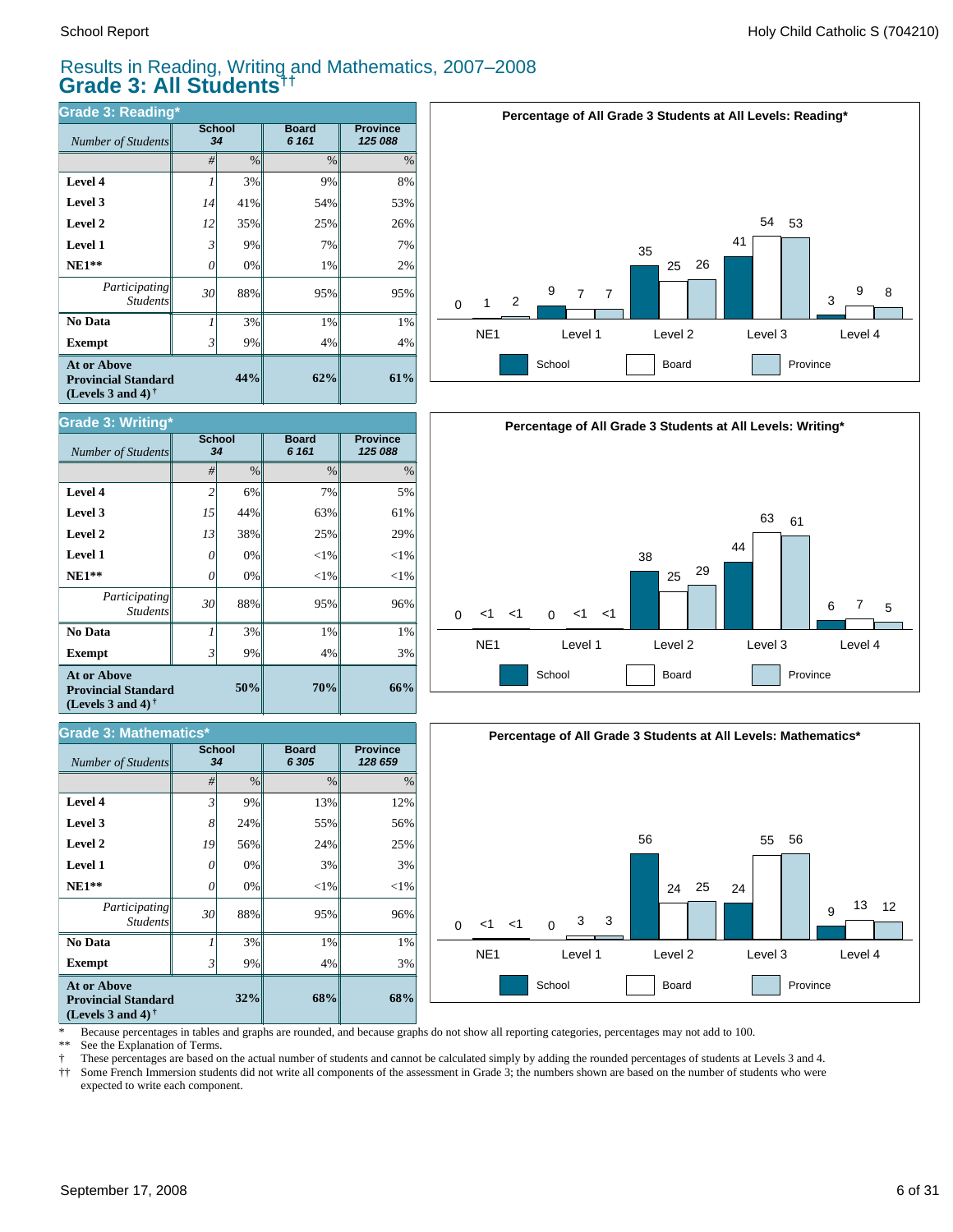#### Results in Reading, Writing and Mathematics, 2007–2008 **Grade 3: All Students††**

| <b>Grade 3: Reading*</b>                                                              |    |                     |                         |                            |  |  |  |  |
|---------------------------------------------------------------------------------------|----|---------------------|-------------------------|----------------------------|--|--|--|--|
| Number of Students                                                                    |    | <b>School</b><br>34 | <b>Board</b><br>6 1 6 1 | <b>Province</b><br>125 088 |  |  |  |  |
|                                                                                       | #  | $\%$                | $\frac{0}{0}$           | $\%$                       |  |  |  |  |
| Level 4                                                                               |    | 3%                  | 9%                      | 8%                         |  |  |  |  |
| Level 3                                                                               | 14 | 41%                 | 54%                     | 53%                        |  |  |  |  |
| Level 2                                                                               | 12 | 35%                 | 25%                     | 26%                        |  |  |  |  |
| <b>Level 1</b>                                                                        | 3  | 9%                  | 7%                      | 7%                         |  |  |  |  |
| $NE1**$                                                                               | 0  | 0%                  | 1%                      | 2%                         |  |  |  |  |
| Participating<br><b>Students</b>                                                      | 30 | 88%                 | 95%                     | 95%                        |  |  |  |  |
| No Data                                                                               | 1  | 3%                  | 1%                      | 1%                         |  |  |  |  |
| <b>Exempt</b>                                                                         | 3' | 9%                  | 4%                      | 4%                         |  |  |  |  |
| <b>At or Above</b><br>44%<br><b>Provincial Standard</b><br>(Levels 3 and 4) $\bar{ }$ |    |                     | 62%                     | 61%                        |  |  |  |  |





| Grade 3: Mathematics*                                                          |                |                     |                       |                            |  |  |  |  |
|--------------------------------------------------------------------------------|----------------|---------------------|-----------------------|----------------------------|--|--|--|--|
| Number of Students                                                             |                | <b>School</b><br>34 | <b>Board</b><br>6 305 | <b>Province</b><br>128 659 |  |  |  |  |
|                                                                                | #              | $\frac{0}{0}$       | $\frac{0}{0}$         | $\%$                       |  |  |  |  |
| Level 4                                                                        | $\mathfrak{Z}$ | 9%                  | 13%                   | 12%                        |  |  |  |  |
| Level 3                                                                        | 8              | 24%                 | 55%                   | 56%                        |  |  |  |  |
| Level 2                                                                        | 19             | 56%                 | 24%                   | 25%                        |  |  |  |  |
| Level 1                                                                        | 0              | 0%                  | 3%                    | 3%                         |  |  |  |  |
| $NE1**$                                                                        | 0              | 0%                  | $<$ 1%                | $<$ 1%                     |  |  |  |  |
| Participating<br><b>Students</b>                                               | 30             | 88%                 | 95%                   | 96%                        |  |  |  |  |
| No Data                                                                        |                | 3%                  | 1%                    | 1%                         |  |  |  |  |
| <b>Exempt</b>                                                                  | 3              | 9%                  | 4%                    | 3%                         |  |  |  |  |
| <b>At or Above</b><br><b>Provincial Standard</b><br>(Levels 3 and 4) $\dagger$ |                | 32%                 | 68%                   | 68%                        |  |  |  |  |





\* Because percentages in tables and graphs are rounded, and because graphs do not show all reporting categories, percentages may not add to 100.

See the Explanation of Terms.

† These percentages are based on the actual number of students and cannot be calculated simply by adding the rounded percentages of students at Levels 3 and 4.

Some French Immersion students did not write all components of the assessment in Grade 3; the numbers shown are based on the number of students who were expected to write each component.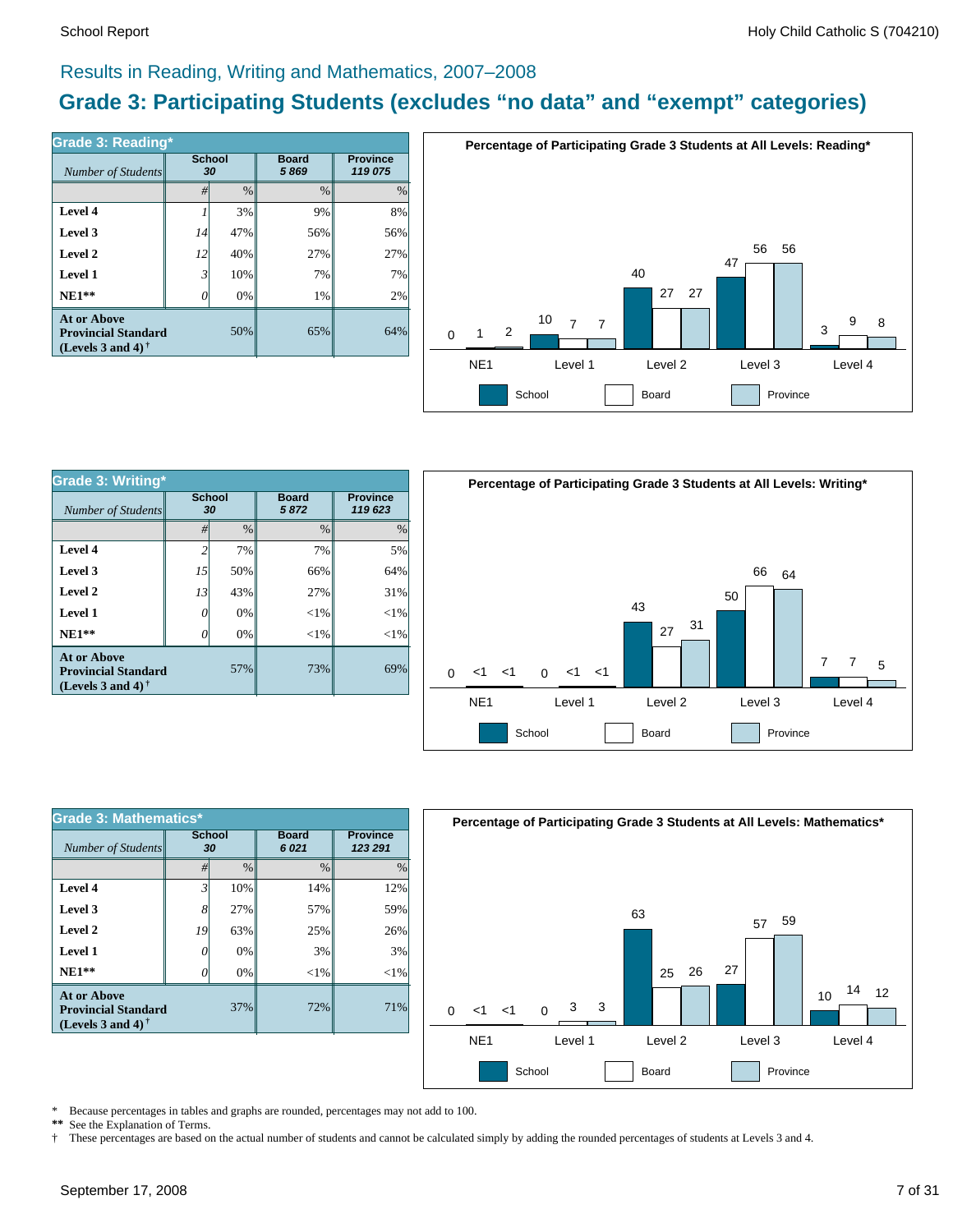#### Results in Reading, Writing and Mathematics, 2007–2008

### **Grade 3: Participating Students (excludes "no data" and "exempt" categories)**

| Grade 3: Reading*                                                              | <b>School</b> |      | <b>Board</b>  | <b>Province</b> |
|--------------------------------------------------------------------------------|---------------|------|---------------|-----------------|
| Number of Students                                                             | 30            |      | 5869          | 119 075         |
|                                                                                | #             | $\%$ | $\frac{0}{0}$ | $\frac{0}{0}$   |
| Level 4                                                                        |               | 3%   | 9%            | 8%              |
| Level 3                                                                        | 14            | 47%  | 56%           | 56%             |
| Level 2                                                                        | 12            | 40%  | 27%           | 27%             |
| Level 1                                                                        | 3             | 10%  | 7%            | 7%              |
| $NE1**$                                                                        | 7             | 0%   | 1%            | 2%              |
| <b>At or Above</b><br><b>Provincial Standard</b><br>(Levels 3 and 4) $\dagger$ |               | 50%  | 65%           | 64%             |



| <b>Grade 3: Writing*</b>                                                       |                     |     |                      |                            |  |  |  |
|--------------------------------------------------------------------------------|---------------------|-----|----------------------|----------------------------|--|--|--|
| <b>Number of Students</b>                                                      | <b>School</b><br>30 |     | <b>Board</b><br>5872 | <b>Province</b><br>119 623 |  |  |  |
|                                                                                | $\frac{0}{0}$<br>#  |     | $\frac{0}{0}$        | $\%$                       |  |  |  |
| Level 4                                                                        | 2                   | 7%  | 7%                   | 5%                         |  |  |  |
| Level 3                                                                        | 15                  | 50% | 66%                  | 64%                        |  |  |  |
| Level 2                                                                        | 13                  | 43% | 27%                  | 31%                        |  |  |  |
| Level 1                                                                        | 0                   | 0%  | $<$ 1%               | $<$ 1%                     |  |  |  |
| $NE1**$                                                                        | 0                   | 0%  | ${<}1\%$             | $<$ 1%                     |  |  |  |
| <b>At or Above</b><br><b>Provincial Standard</b><br>(Levels 3 and 4) $\dagger$ |                     | 57% | 73%                  | 69%                        |  |  |  |



| <b>Grade 3: Mathematics*</b>                                                   |                     |               |                      |                            |  |  |  |  |
|--------------------------------------------------------------------------------|---------------------|---------------|----------------------|----------------------------|--|--|--|--|
| Number of Students                                                             | <b>School</b><br>30 |               | <b>Board</b><br>6021 | <b>Province</b><br>123 291 |  |  |  |  |
|                                                                                | #                   | $\frac{0}{0}$ | $\frac{0}{0}$        | $\frac{0}{0}$              |  |  |  |  |
| Level 4                                                                        | $\mathfrak{Z}$      | 10%           | 14%                  | 12%                        |  |  |  |  |
| Level 3                                                                        | 8                   | 27%           | 57%                  | 59%                        |  |  |  |  |
| Level 2                                                                        | 19                  | 63%           | 25%                  | 26%                        |  |  |  |  |
| Level 1                                                                        |                     | 0%            | 3%                   | 3%                         |  |  |  |  |
| $NE1**$                                                                        |                     | 0%            | ${<}1\%$             | $<$ 1%                     |  |  |  |  |
| <b>At or Above</b><br><b>Provincial Standard</b><br>(Levels 3 and 4) $\dagger$ |                     | 37%           | 72%                  | 71%                        |  |  |  |  |



\* Because percentages in tables and graphs are rounded, percentages may not add to 100.<br>\*\* See the Explanation of Terms

See the Explanation of Terms. † These percentages are based on the actual number of students and cannot be calculated simply by adding the rounded percentages of students at Levels 3 and 4.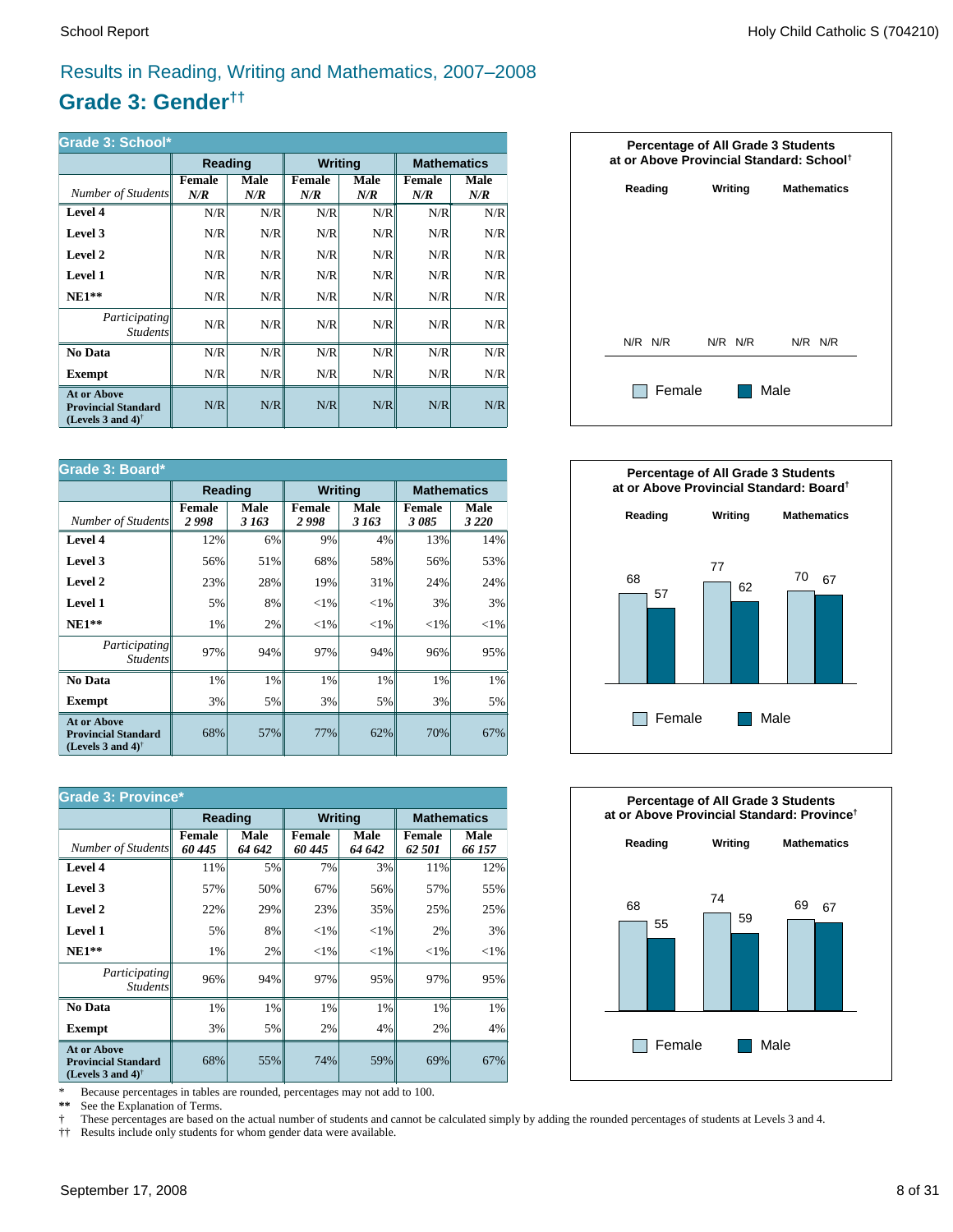### Results in Reading, Writing and Mathematics, 2007–2008

### **Grade 3: Gender††**

| Grade 3: School*                                                                                     |                      |             |                      |             |                    |             |  |  |
|------------------------------------------------------------------------------------------------------|----------------------|-------------|----------------------|-------------|--------------------|-------------|--|--|
|                                                                                                      | Reading              |             | <b>Writing</b>       |             | <b>Mathematics</b> |             |  |  |
| Number of Students                                                                                   | <b>Female</b><br>N/R | Male<br>N/R | <b>Female</b><br>N/R | Male<br>N/R | Female<br>N/R      | Male<br>N/R |  |  |
| Level 4                                                                                              | N/R                  | N/R         | N/R                  | N/R         | N/R                | N/R         |  |  |
| Level 3                                                                                              | N/R                  | N/R         | N/R                  | N/R         | N/R                | N/R         |  |  |
| Level 2                                                                                              | N/R                  | N/R         | N/R                  | N/R         | N/R                | N/R         |  |  |
| Level 1                                                                                              | N/R                  | N/R         | N/R                  | N/R         | N/R                | N/R         |  |  |
| $NE1**$                                                                                              | N/R                  | N/R         | N/R                  | N/R         | N/R                | N/R         |  |  |
| <i>Participating</i><br><i>Students</i>                                                              | N/R                  | N/R         | N/R                  | N/R         | N/R                | N/R         |  |  |
| <b>No Data</b>                                                                                       | N/R                  | N/R         | N/R                  | N/R         | N/R                | N/R         |  |  |
| Exempt                                                                                               | N/R                  | N/R         | N/R                  | N/R         | N/R                | N/R         |  |  |
| <b>At or Above</b><br><b>Provincial Standard</b><br>(Levels 3 and 4) <sup><math>\dagger</math></sup> | N/R                  | N/R         | N/R                  | N/R         | N/R                | N/R         |  |  |

| Grade 3: Board*                                                                |                       |               |                       |               |                       |                 |  |  |
|--------------------------------------------------------------------------------|-----------------------|---------------|-----------------------|---------------|-----------------------|-----------------|--|--|
|                                                                                | Reading               |               | <b>Writing</b>        |               | <b>Mathematics</b>    |                 |  |  |
| Number of Students                                                             | <b>Female</b><br>2998 | Male<br>3 163 | <b>Female</b><br>2998 | Male<br>3 163 | <b>Female</b><br>3085 | Male<br>3 2 2 0 |  |  |
| Level 4                                                                        | 12%                   | 6%            | 9%                    | 4%            | 13%                   | 14%             |  |  |
| Level 3                                                                        | 56%                   | 51%           | 68%                   | 58%           | 56%                   | 53%             |  |  |
| Level 2                                                                        | 23%                   | 28%           | 19%                   | 31%           | 24%                   | 24%             |  |  |
| <b>Level 1</b>                                                                 | 5%                    | 8%            | ${<}1\%$              | ${<}1\%$      | 3%                    | 3%              |  |  |
| $NE1**$                                                                        | 1%                    | 2%            | ${<}1\%$              | ${<}1\%$      | ${<}1\%$              | ${<}1\%$        |  |  |
| Participating<br><b>Students</b>                                               | 97%                   | 94%           | 97%                   | 94%           | 96%                   | 95%             |  |  |
| No Data                                                                        | 1%                    | 1%            | 1%                    | 1%            | 1%                    | 1%              |  |  |
| Exempt                                                                         | 3%                    | 5%            | 3%                    | 5%            | 3%                    | 5%              |  |  |
| <b>At or Above</b><br><b>Provincial Standard</b><br>(Levels 3 and 4) $\dagger$ | 68%                   | 57%           | 77%                   | 62%           | 70%                   | 67%             |  |  |

| <b>Grade 3: Province*</b>                                                      |                         |                |                         |                |                         |                |  |  |
|--------------------------------------------------------------------------------|-------------------------|----------------|-------------------------|----------------|-------------------------|----------------|--|--|
|                                                                                | Reading                 |                | <b>Writing</b>          |                | <b>Mathematics</b>      |                |  |  |
| Number of Students                                                             | <b>Female</b><br>60 445 | Male<br>64 642 | <b>Female</b><br>60 445 | Male<br>64 642 | <b>Female</b><br>62 501 | Male<br>66 157 |  |  |
| Level 4                                                                        | 11%                     | 5%             | 7%                      | 3%             | 11%                     | 12%            |  |  |
| Level 3                                                                        | 57%                     | 50%            | 67%                     | 56%            | 57%                     | 55%            |  |  |
| Level 2                                                                        | 22%                     | 29%            | 23%                     | 35%            | 25%                     | 25%            |  |  |
| Level 1                                                                        | 5%                      | 8%             | ${<}1\%$                | ${<}1\%$       | 2%                      | 3%             |  |  |
| $NE1**$                                                                        | 1%                      | 2%             | ${<}1\%$                | ${<}1\%$       | ${<}1\%$                | ${<}1\%$       |  |  |
| <i>Participating</i><br><i>Students</i>                                        | 96%                     | 94%            | 97%                     | 95%            | 97%                     | 95%            |  |  |
| No Data                                                                        | 1%                      | 1%             | 1%                      | 1%             | 1%                      | 1%             |  |  |
| <b>Exempt</b>                                                                  | 3%                      | 5%             | 2%                      | 4%             | 2%                      | 4%             |  |  |
| <b>At or Above</b><br><b>Provincial Standard</b><br>(Levels 3 and 4) $\dagger$ | 68%                     | 55%            | 74%                     | 59%            | 69%                     | 67%            |  |  |

\* Because percentages in tables are rounded, percentages may not add to 100.<br>\*\* See the Explanation of Terms.

See the Explanation of Terms.

† These percentages are based on the actual number of students and cannot be calculated simply by adding the rounded percentages of students at Levels 3 and 4.<br>†† Results include only students for whom gender data were ava

†† Results include only students for whom gender data were available.





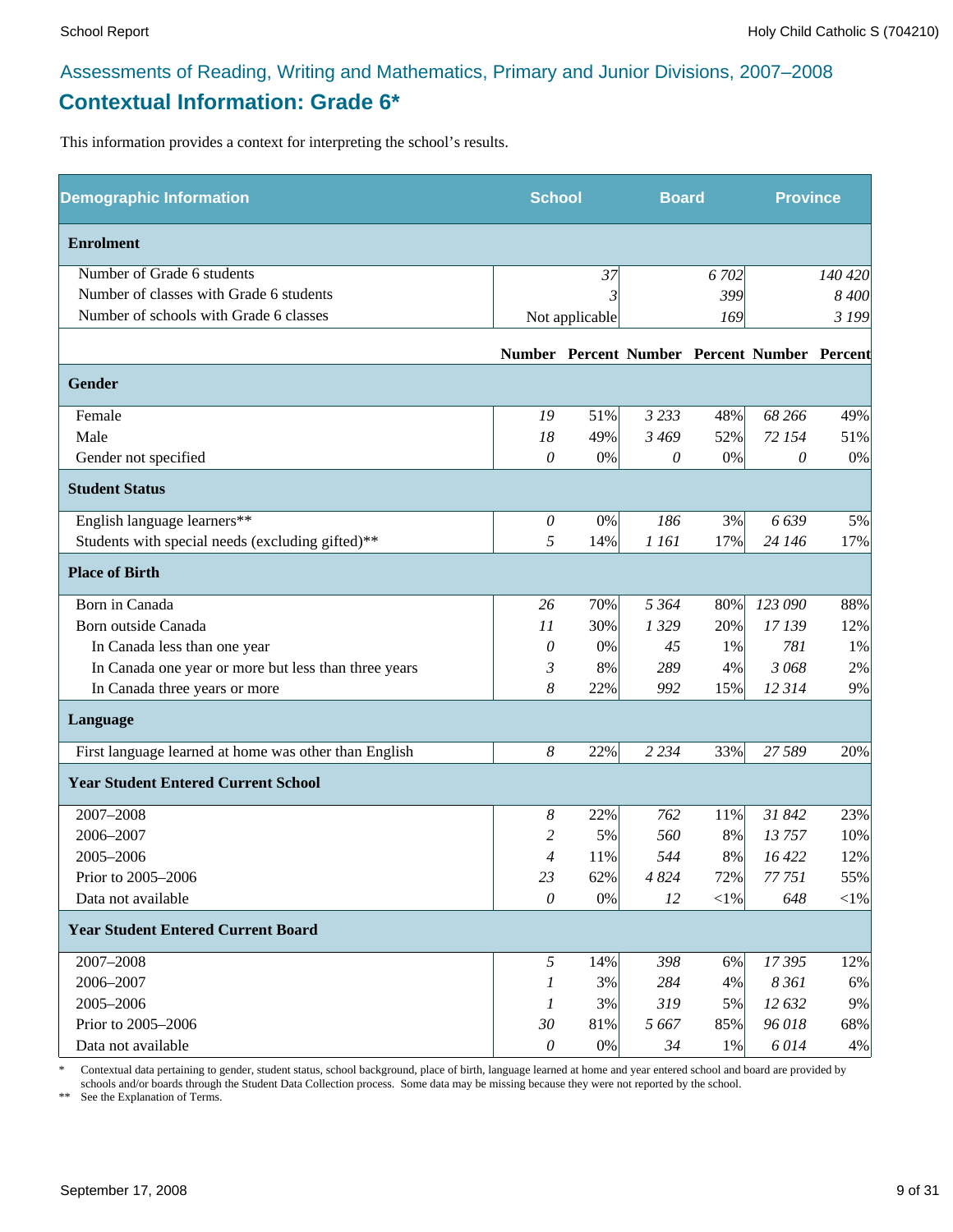### Assessments of Reading, Writing and Mathematics, Primary and Junior Divisions, 2007–2008 **Contextual Information: Grade 6\***

This information provides a context for interpreting the school's results.

| <b>Demographic Information</b>                        | <b>School</b> |                | <b>Board</b> |            | <b>Province</b>                              |         |
|-------------------------------------------------------|---------------|----------------|--------------|------------|----------------------------------------------|---------|
| <b>Enrolment</b>                                      |               |                |              |            |                                              |         |
| Number of Grade 6 students                            |               | 37             |              | 6 702      |                                              | 140 420 |
| Number of classes with Grade 6 students               |               |                |              | 399        |                                              | 8 400   |
| Number of schools with Grade 6 classes                |               | Not applicable |              | 169        |                                              | 3 199   |
|                                                       |               |                |              |            | Number Percent Number Percent Number Percent |         |
| Gender                                                |               |                |              |            |                                              |         |
| Female                                                | 19            | 51%            | 3 2 3 3      | 48%        | 68 266                                       | 49%     |
| Male                                                  | 18            | 49%            | 3 4 6 9      | 52%        | 72 154                                       | 51%     |
| Gender not specified                                  | 0             | $0\%$          | 0            | $0\%$      | 0                                            | 0%      |
| <b>Student Status</b>                                 |               |                |              |            |                                              |         |
| English language learners**                           | $\theta$      | $0\%$          | 186          | 3%         | 6639                                         | 5%      |
| Students with special needs (excluding gifted)**      | 5             | 14%            | 1 161        | 17%        | 24 146                                       | 17%     |
| <b>Place of Birth</b>                                 |               |                |              |            |                                              |         |
| Born in Canada                                        | 26            | 70%            | 5 3 6 4      | 80%        | 123 090                                      | 88%     |
| Born outside Canada                                   | 11            | 30%            | 1329         | 20%        | 17 139                                       | 12%     |
| In Canada less than one year                          | 0             | 0%             | 45           | 1%         | 781                                          | 1%      |
| In Canada one year or more but less than three years  | 3             | 8%             | 289          | 4%         | 3 0 6 8                                      | 2%      |
| In Canada three years or more                         | 8             | 22%            | 992          | 15%        | 12 3 14                                      | 9%      |
| Language                                              |               |                |              |            |                                              |         |
| First language learned at home was other than English | 8             | 22%            | 2 2 3 4      | 33%        | 27 589                                       | 20%     |
| <b>Year Student Entered Current School</b>            |               |                |              |            |                                              |         |
| 2007-2008                                             | 8             | 22%            | 762          | 11%        | 31 842                                       | 23%     |
| 2006-2007                                             | 2             | 5%             | 560          | 8%         | 13757                                        | 10%     |
| 2005-2006                                             | 4             | 11%            | 544          | 8%         | 16 422                                       | 12%     |
| Prior to 2005-2006                                    | 23            | 62%            | 4 8 24       | 72%        | 77 751                                       | 55%     |
| Data not available                                    | $\theta$      | $0\%$          | 12           | $<\!\!1\%$ | 648                                          | $<$ 1%  |
| <b>Year Student Entered Current Board</b>             |               |                |              |            |                                              |         |
| 2007-2008                                             | 5             | 14%            | 398          | 6%         | 17395                                        | 12%     |
| 2006-2007                                             | 1             | 3%             | 284          | 4%         | 8 3 6 1                                      | 6%      |
| 2005-2006                                             | 1             | 3%             | 319          | 5%         | 12 632                                       | 9%      |
| Prior to 2005-2006                                    | 30            | 81%            | 5 6 6 7      | 85%        | 96 018                                       | 68%     |
| Data not available                                    | $\mathcal O$  | $0\%$          | 34           | $1\%$      | 6014                                         | 4%      |

\* Contextual data pertaining to gender, student status, school background, place of birth, language learned at home and year entered school and board are provided by schools and/or boards through the Student Data Collection process. Some data may be missing because they were not reported by the school.

\*\* See the Explanation of Terms.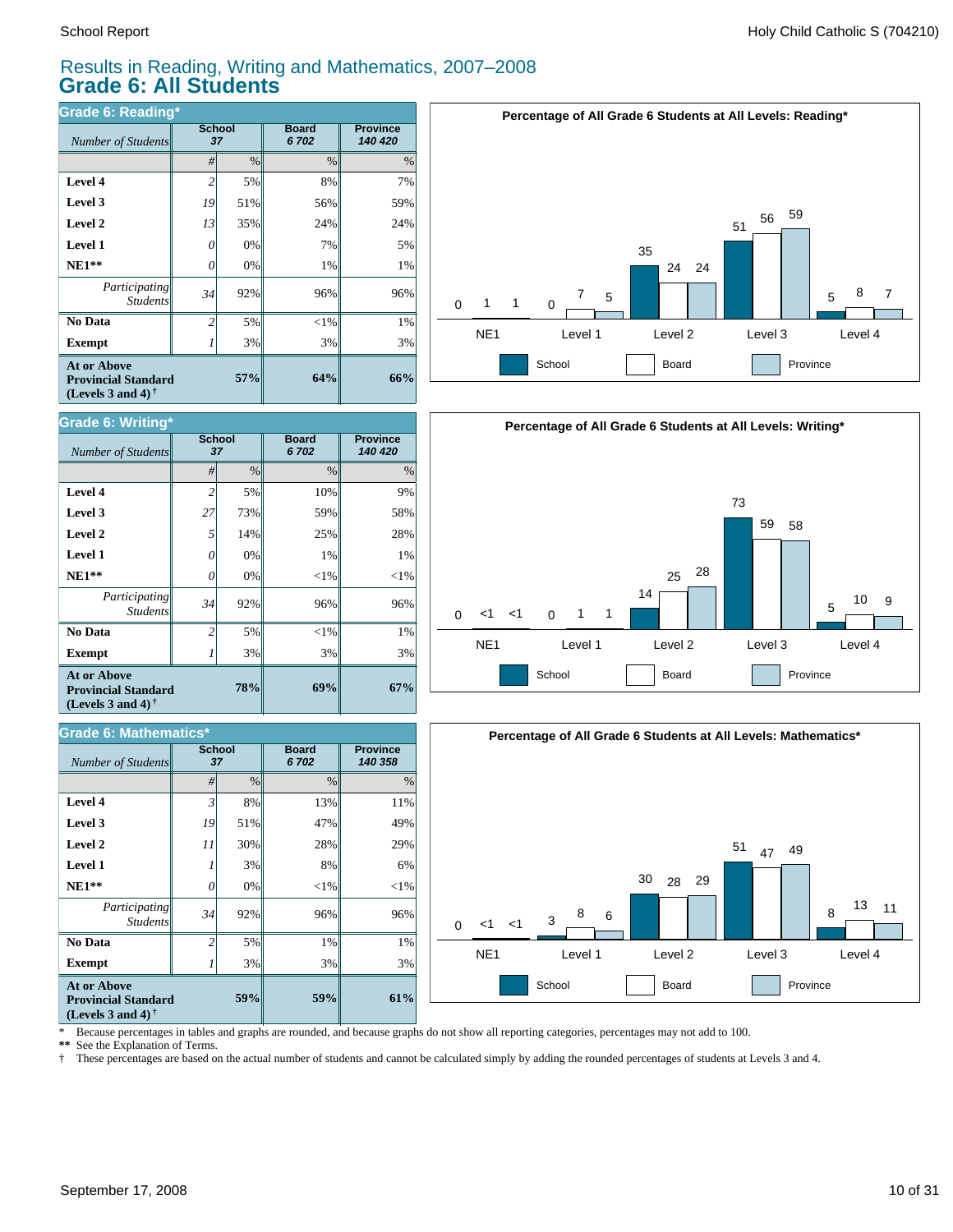**Grade 6: Writing\***

#### Results in Reading, Writing and Mathematics, 2007–2008 **Grade 6: All Students**

| Grade 6: Reading*                                                              |                |                     |                      |                            |  |  |  |  |
|--------------------------------------------------------------------------------|----------------|---------------------|----------------------|----------------------------|--|--|--|--|
| Number of Students                                                             |                | <b>School</b><br>37 | <b>Board</b><br>6702 | <b>Province</b><br>140 420 |  |  |  |  |
|                                                                                | #              | $\%$                | $\frac{0}{0}$        | $\%$                       |  |  |  |  |
| Level 4                                                                        | $\overline{c}$ | 5%                  | 8%                   | 7%                         |  |  |  |  |
| Level 3                                                                        | 19             | 51%                 | 56%                  | 59%                        |  |  |  |  |
| Level 2                                                                        | 13             | 35%                 | 24%                  | 24%                        |  |  |  |  |
| <b>Level 1</b>                                                                 | 0              | 0%                  | 7%                   | 5%                         |  |  |  |  |
| $NE1**$                                                                        | 0              | 0%                  | 1%                   | 1%                         |  |  |  |  |
| Participating<br><b>Students</b>                                               | 34             | 92%                 | 96%                  | 96%                        |  |  |  |  |
| No Data                                                                        | $\overline{c}$ | 5%                  | $<$ 1%               | 1%                         |  |  |  |  |
| <b>Exempt</b>                                                                  |                | 3%                  | 3%                   | 3%                         |  |  |  |  |
| <b>At or Above</b><br><b>Provincial Standard</b><br>(Levels 3 and 4) $\dagger$ |                | 57%                 | 64%                  | 66%                        |  |  |  |  |







| <b>Number of Students</b>                                                                | <b>School</b><br>37 |               | <b>Board</b><br>6702 | <b>Province</b><br>140 420 |
|------------------------------------------------------------------------------------------|---------------------|---------------|----------------------|----------------------------|
|                                                                                          | #                   | $\frac{0}{0}$ | $\%$                 | $\%$                       |
| Level 4                                                                                  | $\overline{2}$      | 5%            | 10%                  | 9%                         |
| Level 3                                                                                  | 27                  | 73%           | 59%                  | 58%                        |
| Level 2                                                                                  | 5                   | 14%           | 25%                  | 28%                        |
| <b>Level 1</b>                                                                           | 0                   | 0%            | 1%                   | 1%                         |
| $NE1**$                                                                                  | $\theta$            | 0%            | $<$ 1%               | $<$ 1%                     |
| Participating<br><b>Students</b>                                                         | 34                  | 92%           | 96%                  | 96%                        |
| No Data                                                                                  | $\overline{c}$      | 5%            | $<$ 1%               | 1%                         |
| <b>Exempt</b>                                                                            |                     | 3%            | 3%                   | 3%                         |
| <b>At or Above</b><br>78%<br><b>Provincial Standard</b><br>(Levels 3 and 4) $^{\dagger}$ |                     |               | 69%                  | 67%                        |

| <b>Grade 6: Mathematics*</b>                                                                                |                     |      |                      |                            |  |  |  |  |
|-------------------------------------------------------------------------------------------------------------|---------------------|------|----------------------|----------------------------|--|--|--|--|
| Number of Students                                                                                          | <b>School</b><br>37 |      | <b>Board</b><br>6702 | <b>Province</b><br>140 358 |  |  |  |  |
|                                                                                                             | #                   | $\%$ | $\frac{0}{0}$        | $\%$                       |  |  |  |  |
| Level 4                                                                                                     | $\overline{3}$      | 8%   | 13%                  | 11%                        |  |  |  |  |
| Level 3                                                                                                     | 19                  | 51%  | 47%                  | 49%                        |  |  |  |  |
| Level 2                                                                                                     | 11                  | 30%  | 28%                  | 29%                        |  |  |  |  |
| <b>Level 1</b>                                                                                              |                     | 3%   | 8%                   | 6%                         |  |  |  |  |
| $NE1**$                                                                                                     | 0                   | 0%   | $<$ 1%               | $<$ 1%                     |  |  |  |  |
| Participating<br><b>Students</b>                                                                            | 34                  | 92%  | 96%                  | 96%                        |  |  |  |  |
| No Data                                                                                                     | $\overline{c}$      | 5%   | 1%                   | 1%                         |  |  |  |  |
| <b>Exempt</b>                                                                                               |                     | 3%   | 3%                   | 3%                         |  |  |  |  |
| <b>At or Above</b><br>59%<br><b>Provincial Standard</b><br>(Levels 3 and 4) <sup><math>\dagger</math></sup> |                     |      | 59%                  | 61%                        |  |  |  |  |

\* Because percentages in tables and graphs are rounded, and because graphs do not show all reporting categories, percentages may not add to 100.

**\*\*** See the Explanation of Terms.

† These percentages are based on the actual number of students and cannot be calculated simply by adding the rounded percentages of students at Levels 3 and 4.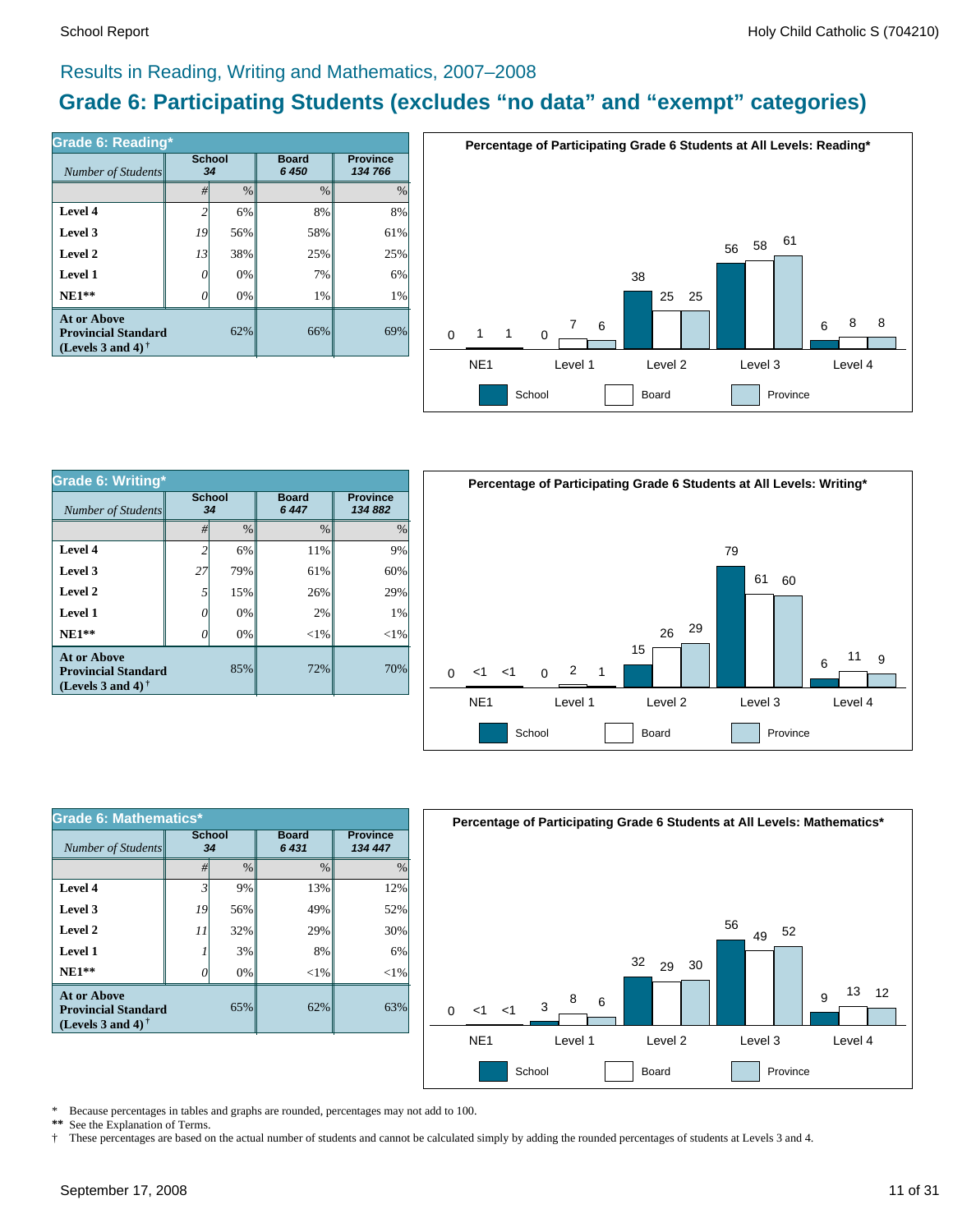### Results in Reading, Writing and Mathematics, 2007–2008

### **Grade 6: Participating Students (excludes "no data" and "exempt" categories)**

| Number of Students                                                             | <b>School</b><br>34 |      | <b>Board</b><br>6 450 | <b>Province</b><br>134 766 |  |
|--------------------------------------------------------------------------------|---------------------|------|-----------------------|----------------------------|--|
|                                                                                | #                   | $\%$ | $\frac{0}{0}$         | $\%$                       |  |
| Level 4                                                                        | $\overline{c}$      | 6%   | 8%                    | 8%                         |  |
| Level 3                                                                        | 19                  | 56%  | 58%                   | 61%                        |  |
| Level 2                                                                        | 13                  | 38%  | 25%                   | 25%                        |  |
| Level 1                                                                        | 0                   | 0%   | 7%                    | 6%                         |  |
| $NE1**$                                                                        | O                   | 0%   | 1%                    | 1%                         |  |
| <b>At or Above</b><br><b>Provincial Standard</b><br>(Levels 3 and 4) $\dagger$ |                     |      | 66%                   | 69%                        |  |



| Grade 6: Writing*                                                                     |                     |     |                      |                            |  |  |  |
|---------------------------------------------------------------------------------------|---------------------|-----|----------------------|----------------------------|--|--|--|
| Number of Students                                                                    | <b>School</b><br>34 |     | <b>Board</b><br>6447 | <b>Province</b><br>134 882 |  |  |  |
|                                                                                       | $\frac{0}{0}$<br>#  |     | $\frac{0}{0}$        | $\%$                       |  |  |  |
| Level 4                                                                               | $\overline{c}$      | 6%  | 11%                  | 9%                         |  |  |  |
| Level 3                                                                               | 27                  | 79% | 61%                  | 60%                        |  |  |  |
| Level 2                                                                               | 5                   | 15% | 26%                  | 29%                        |  |  |  |
| Level 1                                                                               | 0                   | 0%  | 2%                   | 1%                         |  |  |  |
| $NE1**$                                                                               | 0                   | 0%  | $<$ 1%               | $<$ 1%                     |  |  |  |
| <b>At or Above</b><br>85%<br><b>Provincial Standard</b><br>(Levels 3 and 4) $\dagger$ |                     | 72% | 70%                  |                            |  |  |  |



| Grade 6: Mathematics*                                                                 |                |               |                      |        |  |  |  |
|---------------------------------------------------------------------------------------|----------------|---------------|----------------------|--------|--|--|--|
| Number of Students                                                                    | School<br>34   |               | <b>Board</b><br>6431 |        |  |  |  |
|                                                                                       | #              | $\frac{0}{0}$ | $\frac{0}{0}$        | $\%$   |  |  |  |
| Level 4                                                                               | 3 <sup>1</sup> | 9%            | 13%                  | 12%    |  |  |  |
| Level 3                                                                               | 19             | 56%           | 49%                  | 52%    |  |  |  |
| Level 2                                                                               | 11             | 32%           | 29%                  | 30%    |  |  |  |
| Level 1                                                                               |                | 3%            | 8%                   | 6%     |  |  |  |
| $NE1**$                                                                               | 0              | 0%            | $<$ 1%               | $<$ 1% |  |  |  |
| <b>At or Above</b><br>65%<br><b>Provincial Standard</b><br>(Levels 3 and 4) $\dagger$ |                |               | 62%                  | 63%    |  |  |  |



\* Because percentages in tables and graphs are rounded, percentages may not add to 100.<br>\*\* See the Explanation of Terms See the Explanation of Terms.

† These percentages are based on the actual number of students and cannot be calculated simply by adding the rounded percentages of students at Levels 3 and 4.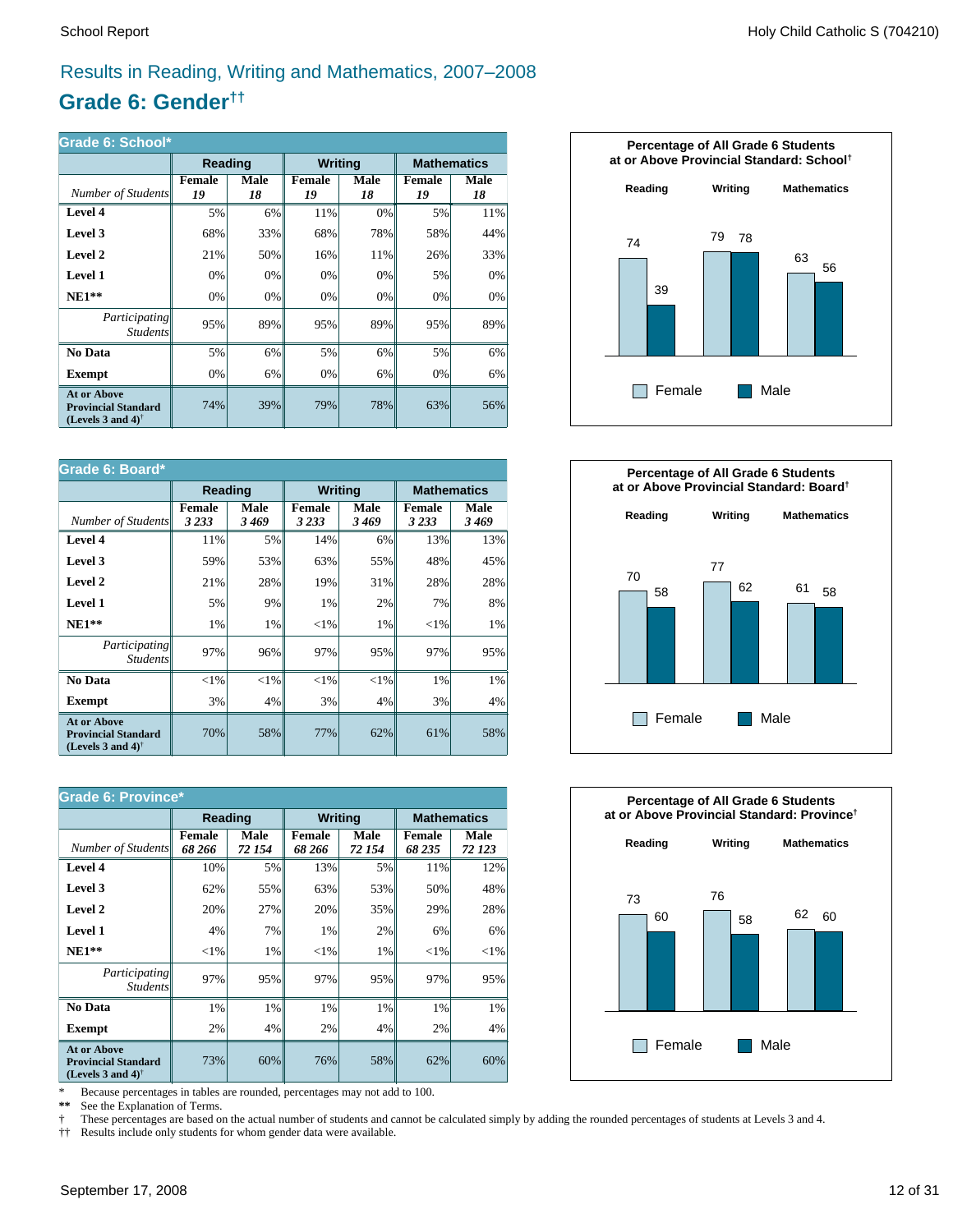### Results in Reading, Writing and Mathematics, 2007–2008

### **Grade 6: Gender††**

| Grade 6: School*                                                                                     |              |                   |                |            |                     |                    |  |
|------------------------------------------------------------------------------------------------------|--------------|-------------------|----------------|------------|---------------------|--------------------|--|
|                                                                                                      | Reading      |                   | <b>Writing</b> |            |                     | <b>Mathematics</b> |  |
| Number of Students                                                                                   | Female<br>19 | <b>Male</b><br>18 | Female<br>19   | Male<br>18 | <b>Female</b><br>19 | Male<br>18         |  |
| Level 4                                                                                              | 5%           | 6%                | 11%            | 0%         | 5%                  | 11%                |  |
| Level 3                                                                                              | 68%          | 33%               | 68%            | 78%        | 58%                 | 44%                |  |
| Level 2                                                                                              | 21%          | 50%               | 16%            | 11%        | 26%                 | 33%                |  |
| Level 1                                                                                              | 0%           | 0%                | 0%             | 0%         | 5%                  | 0%                 |  |
| $NE1**$                                                                                              | 0%           | 0%                | 0%             | 0%         | 0%                  | 0%                 |  |
| <i>Participating</i><br><b>Students</b>                                                              | 95%          | 89%               | 95%            | 89%        | 95%                 | 89%                |  |
| No Data                                                                                              | 5%           | 6%                | 5%             | 6%         | 5%                  | 6%                 |  |
| <b>Exempt</b>                                                                                        | 0%           | 6%                | 0%             | 6%         | 0%                  | 6%                 |  |
| <b>At or Above</b><br><b>Provincial Standard</b><br>(Levels 3 and 4) <sup><math>\dagger</math></sup> | 74%          | 39%               | 79%            | 78%        | 63%                 | 56%                |  |

| Grade 6: Board*                                                                |                          |              |                          |              |                          |                    |  |
|--------------------------------------------------------------------------------|--------------------------|--------------|--------------------------|--------------|--------------------------|--------------------|--|
|                                                                                | Reading                  |              | <b>Writing</b>           |              |                          | <b>Mathematics</b> |  |
| Number of Students                                                             | <b>Female</b><br>3 2 3 3 | Male<br>3469 | <b>Female</b><br>3 2 3 3 | Male<br>3469 | <b>Female</b><br>3 2 3 3 | Male<br>3469       |  |
| Level 4                                                                        | 11%                      | 5%           | 14%                      | 6%           | 13%                      | 13%                |  |
| Level 3                                                                        | 59%                      | 53%          | 63%                      | 55%          | 48%                      | 45%                |  |
| Level 2                                                                        | 21%                      | 28%          | 19%                      | 31%          | 28%                      | 28%                |  |
| <b>Level 1</b>                                                                 | 5%                       | 9%           | 1%                       | 2%           | 7%                       | 8%                 |  |
| $NE1**$                                                                        | 1%                       | 1%           | ${<}1\%$                 | 1%           | ${<}1\%$                 | 1%                 |  |
| Participating<br><b>Students</b>                                               | 97%                      | 96%          | 97%                      | 95%          | 97%                      | 95%                |  |
| No Data                                                                        | ${<}1\%$                 | ${<}1\%$     | ${<}1\%$                 | $<$ 1%       | 1%                       | 1%                 |  |
| Exempt                                                                         | 3%                       | 4%           | 3%                       | 4%           | 3%                       | 4%                 |  |
| <b>At or Above</b><br><b>Provincial Standard</b><br>(Levels 3 and 4) $\dagger$ | 70%                      | 58%          | 77%                      | 62%          | 61%                      | 58%                |  |

| <b>Grade 6: Province*</b>                                                      |                         |                |                         |                |                         |                    |  |
|--------------------------------------------------------------------------------|-------------------------|----------------|-------------------------|----------------|-------------------------|--------------------|--|
|                                                                                | Reading                 |                | <b>Writing</b>          |                |                         | <b>Mathematics</b> |  |
| Number of Students                                                             | <b>Female</b><br>68 266 | Male<br>72 154 | <b>Female</b><br>68 266 | Male<br>72 154 | <b>Female</b><br>68 235 | Male<br>72 123     |  |
| Level 4                                                                        | 10%                     | 5%             | 13%                     | 5%             | 11%                     | 12%                |  |
| Level 3                                                                        | 62%                     | 55%            | 63%                     | 53%            | 50%                     | 48%                |  |
| Level 2                                                                        | 20%                     | 27%            | 20%                     | 35%            | 29%                     | 28%                |  |
| Level 1                                                                        | 4%                      | 7%             | 1%                      | 2%             | 6%                      | 6%                 |  |
| $NE1**$                                                                        | ${<}1\%$                | 1%             | ${<}1\%$                | 1%             | ${<}1\%$                | ${<}1\%$           |  |
| <i>Participating</i><br><i>Students</i>                                        | 97%                     | 95%            | 97%                     | 95%            | 97%                     | 95%                |  |
| No Data                                                                        | 1%                      | 1%             | 1%                      | 1%             | 1%                      | 1%                 |  |
| <b>Exempt</b>                                                                  | 2%                      | 4%             | 2%                      | 4%             | 2%                      | 4%                 |  |
| <b>At or Above</b><br><b>Provincial Standard</b><br>(Levels 3 and 4) $\dagger$ | 73%                     | 60%            | 76%                     | 58%            | 62%                     | 60%                |  |

\* Because percentages in tables are rounded, percentages may not add to 100.<br>\*\* See the Explanation of Terms.

See the Explanation of Terms.

† These percentages are based on the actual number of students and cannot be calculated simply by adding the rounded percentages of students at Levels 3 and 4.<br>†† Results include only students for whom gender data were ava

†† Results include only students for whom gender data were available.





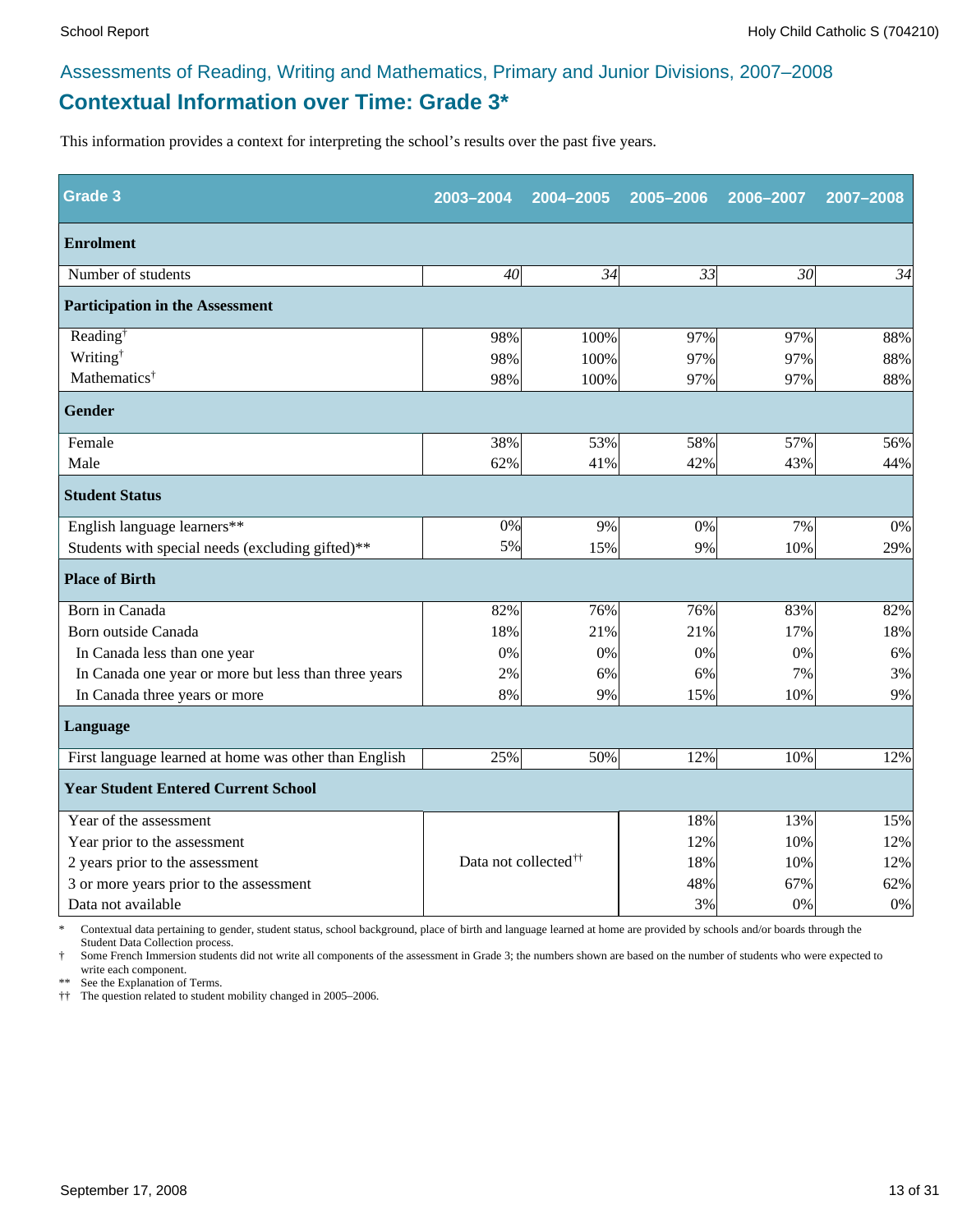### **Contextual Information over Time: Grade 3\*** Assessments of Reading, Writing and Mathematics, Primary and Junior Divisions, 2007–2008

This information provides a context for interpreting the school's results over the past five years.

| Grade <sub>3</sub>                                    | 2003-2004                        | 2004-2005 | 2005-2006 | 2006-2007 | 2007-2008 |
|-------------------------------------------------------|----------------------------------|-----------|-----------|-----------|-----------|
| <b>Enrolment</b>                                      |                                  |           |           |           |           |
| Number of students                                    | 40                               | 34        | 33        | 30        | 34        |
| <b>Participation in the Assessment</b>                |                                  |           |           |           |           |
| Reading <sup>†</sup>                                  | 98%                              | 100%      | 97%       | 97%       | 88%       |
| Writing <sup>†</sup>                                  | 98%                              | 100%      | 97%       | 97%       | 88%       |
| Mathematics <sup>†</sup>                              | 98%                              | 100%      | 97%       | 97%       | 88%       |
| <b>Gender</b>                                         |                                  |           |           |           |           |
| Female                                                | 38%                              | 53%       | 58%       | 57%       | 56%       |
| Male                                                  | 62%                              | 41%       | 42%       | 43%       | 44%       |
| <b>Student Status</b>                                 |                                  |           |           |           |           |
| English language learners**                           | 0%                               | 9%        | 0%        | 7%        | $0\%$     |
| Students with special needs (excluding gifted)**      | 5%                               | 15%       | 9%        | 10%       | 29%       |
| <b>Place of Birth</b>                                 |                                  |           |           |           |           |
| Born in Canada                                        | 82%                              | 76%       | 76%       | 83%       | 82%       |
| Born outside Canada                                   | 18%                              | 21%       | 21%       | 17%       | 18%       |
| In Canada less than one year                          | 0%                               | 0%        | 0%        | 0%        | 6%        |
| In Canada one year or more but less than three years  | 2%                               | 6%        | 6%        | 7%        | 3%        |
| In Canada three years or more                         | 8%                               | 9%        | 15%       | 10%       | 9%        |
| <b>Language</b>                                       |                                  |           |           |           |           |
| First language learned at home was other than English | 25%                              | 50%       | 12%       | 10%       | 12%       |
| <b>Year Student Entered Current School</b>            |                                  |           |           |           |           |
| Year of the assessment                                |                                  |           | 18%       | 13%       | 15%       |
| Year prior to the assessment                          |                                  |           | 12%       | 10%       | 12%       |
| 2 years prior to the assessment                       | Data not collected <sup>††</sup> |           | 18%       | 10%       | 12%       |
| 3 or more years prior to the assessment               |                                  |           | 48%       | 67%       | 62%       |
| Data not available                                    |                                  |           | 3%        | 0%        | $0\%$     |

\* Contextual data pertaining to gender, student status, school background, place of birth and language learned at home are provided by schools and/or boards through the Student Data Collection process.

Some French Immersion students did not write all components of the assessment in Grade 3; the numbers shown are based on the number of students who were expected to write each component.

\*\* See the Explanation of Terms.

†† The question related to student mobility changed in 2005–2006.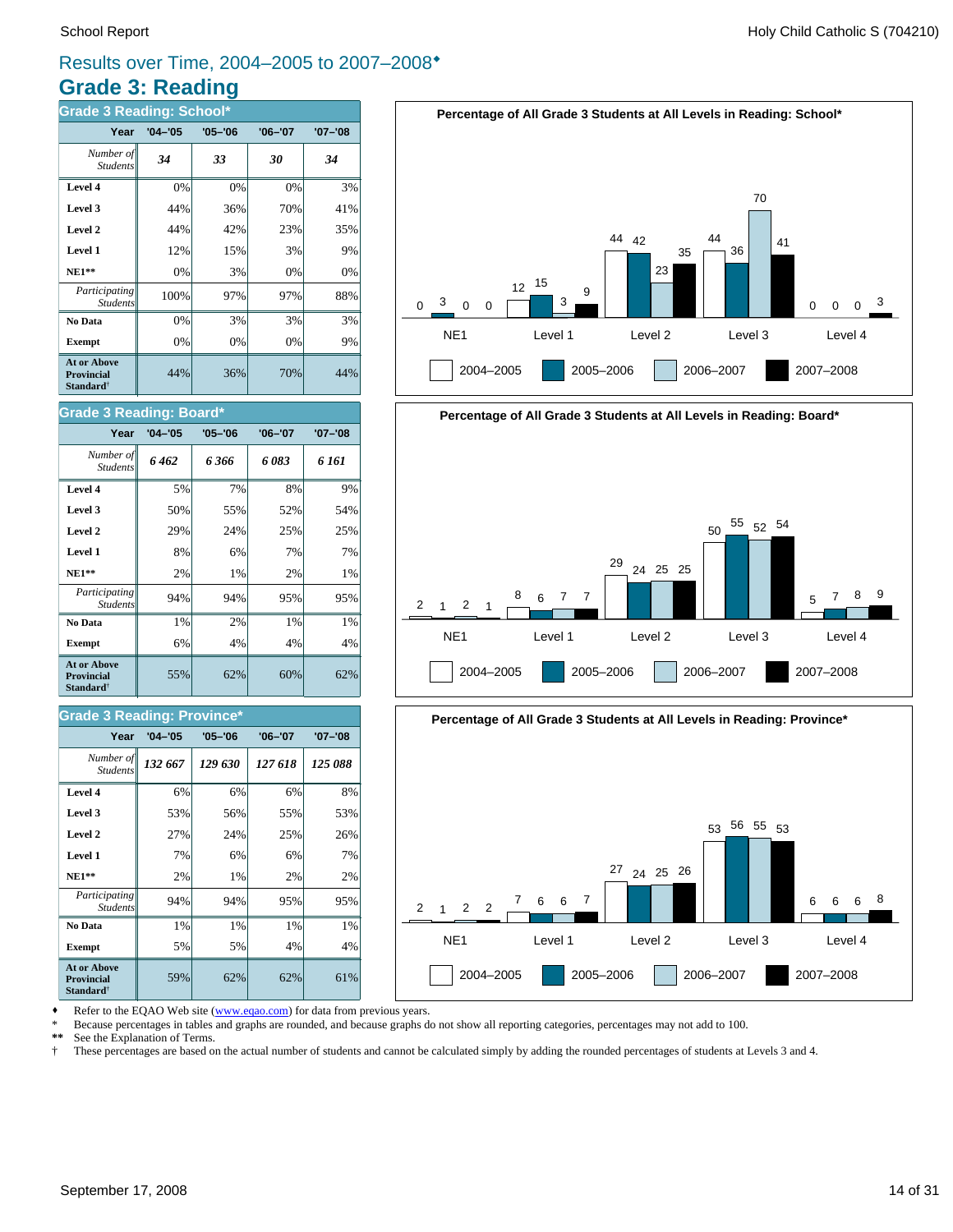### **Grade 3: Reading** Results over Time, 2004–2005 to 2007–2008<sup>\*</sup>

| <b>Grade 3 Reading: School*</b>                                         |             |             |             |             |  |  |  |  |
|-------------------------------------------------------------------------|-------------|-------------|-------------|-------------|--|--|--|--|
| Year                                                                    | $'04 - '05$ | $'05 - '06$ | $'06 - '07$ | $'07 - '08$ |  |  |  |  |
| Number of<br><b>Students</b>                                            | 34          | 33          | 30          | 34          |  |  |  |  |
| Level 4                                                                 | 0%          | 0%          | 0%          | 3%          |  |  |  |  |
| Level 3                                                                 | 44%         | 36%         | 70%         | 41%         |  |  |  |  |
| Level 2                                                                 | 44%         | 42%         | 23%         | 35%         |  |  |  |  |
| Level 1                                                                 | 12%         | 15%         | 3%          | 9%          |  |  |  |  |
| $NE1**$                                                                 | 0%          | 3%          | 0%          | 0%          |  |  |  |  |
| Participating<br><b>Students</b>                                        | 100%        | 97%         | 97%         | 88%         |  |  |  |  |
| No Data                                                                 | 0%          | 3%          | 3%          | 3%          |  |  |  |  |
| <b>Exempt</b>                                                           | 0%          | 0%          | 0%          | 9%          |  |  |  |  |
| <b>At or Above</b><br><b>Provincial</b><br><b>Standard</b> <sup>†</sup> | 44%         | 36%         | 70%         | 44%         |  |  |  |  |



### **Percentage of All Grade 3 Students at All Levels in Reading: Board\*** NE1 Level 1 Level 2 Level 3 Level 4  $\mathfrak{p}$ 2004–2005 2005–2006 2006–2007 2007–2008 1 2 1 8 <sub>6</sub> 7 7  $\frac{29}{24}$  24 25 25  $50 - \frac{55}{ }$  52 54 <sup>5</sup> <sup>7</sup> <sup>8</sup> <sup>9</sup>



Refer to the EQAO Web site (www.eqao.com) for data from previous years.

55% 62% 60% 62%

\* Because percentages in tables and graphs are rounded, and because graphs do not show all reporting categories, percentages may not add to 100.

**\*\*** See the Explanation of Terms.

† These percentages are based on the actual number of students and cannot be calculated simply by adding the rounded percentages of students at Levels 3 and 4.

#### **Exempt**  $\begin{array}{|c|c|c|c|} \hline \textbf{6}\% & \textbf{4}\% & \textbf{4}\% \hline \end{array}$  4% **No Data**  $\begin{array}{|c|c|c|c|c|} \hline \textbf{No Data} & 1\% & 2\% & 1\% \hline \end{array}$ *Student*

**At or Above Provincial Standard**†

Student.

**Grade 3 Reading: Board\***

#### **Grade 3 Reading: Province\***

| Year                                                             | $'04 - '05$ | $'05 - '06$ | $'06 - '07$ | $'07 - '08$ |
|------------------------------------------------------------------|-------------|-------------|-------------|-------------|
| Number of<br><b>Students</b>                                     | 132 667     | 129 630     | 127 618     | 125 088     |
| Level 4                                                          | 6%          | 6%          | 6%          | 8%          |
| Level 3                                                          | 53%         | 56%         | 55%         | 53%         |
| Level 2                                                          | 27%         | 24%         | 25%         | 26%         |
| Level 1                                                          | 7%          | 6%          | 6%          | 7%          |
| $NE1**$                                                          | 2%          | 1%          | 2%          | 2%          |
| Participating<br><b>Students</b>                                 | 94%         | 94%         | 95%         | 95%         |
| No Data                                                          | 1%          | 1%          | 1%          | 1%          |
| <b>Exempt</b>                                                    | 5%          | 5%          | 4%          | 4%          |
| <b>At or Above</b><br>Provincial<br><b>Standard</b> <sup>†</sup> | 59%         | 62%         | 62%         | 61%         |

*Participating* 94% 94% 95% 95%

**Year '04–'05 '05–'06 '06–'07 '07–'08**

**NE1\*\***  $\begin{vmatrix} 2\% & 1\% \\ 1\% & 2\% \end{vmatrix}$  1% **Level 1** 8% 6% 7% 7% 7% **Level 2**  $\begin{array}{|c|c|c|c|c|} \hline \end{array}$  29% 24% 25% 25% **Level 3 50% 55% 52% 54% Level 4** 5% 7% 8% 9% *6 462 6 366 6 083 6 161 Number of*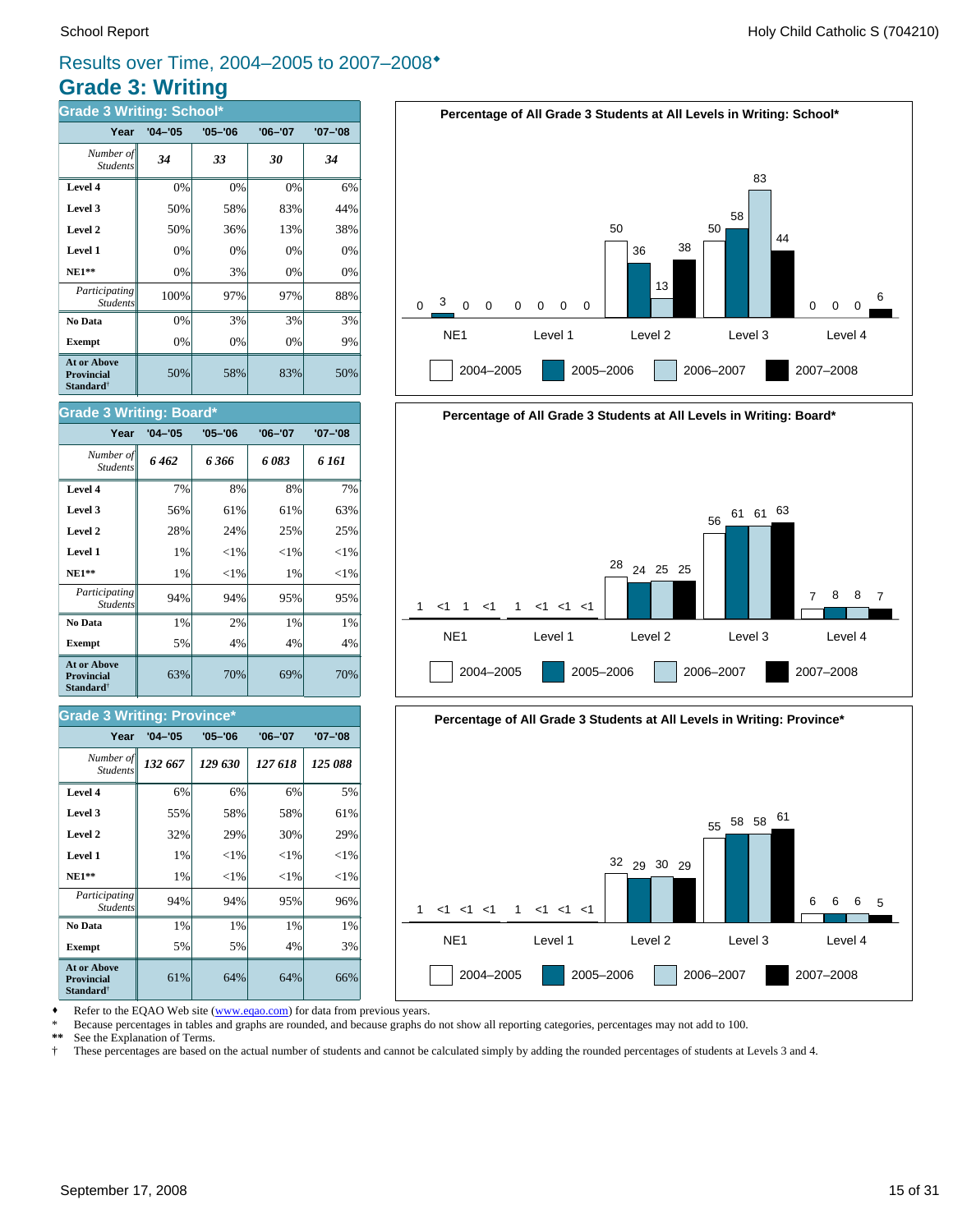### **Grade 3: Writing** Results over Time, 2004–2005 to 2007–2008<sup>\*</sup>

| <b>Grade 3 Writing: School*</b>                                         |             |             |             |             |  |  |  |  |
|-------------------------------------------------------------------------|-------------|-------------|-------------|-------------|--|--|--|--|
| Year                                                                    | $'04 - '05$ | $'05 - '06$ | $'06 - '07$ | $'07 - '08$ |  |  |  |  |
| Number of<br><b>Students</b>                                            | 34          | 33          | 30          | 34          |  |  |  |  |
| Level 4                                                                 | 0%          | 0%          | 0%          | 6%          |  |  |  |  |
| Level 3                                                                 | 50%         | 58%         | 83%         | 44%         |  |  |  |  |
| Level 2                                                                 | 50%         | 36%         | 13%         | 38%         |  |  |  |  |
| Level 1                                                                 | 0%          | 0%          | 0%          | 0%          |  |  |  |  |
| $NE1**$                                                                 | 0%          | 3%          | 0%          | 0%          |  |  |  |  |
| Participating<br><b>Students</b>                                        | 100%        | 97%         | 97%         | 88%         |  |  |  |  |
| No Data                                                                 | 0%          | 3%          | 3%          | 3%          |  |  |  |  |
| <b>Exempt</b>                                                           | 0%          | 0%          | 0%          | 9%          |  |  |  |  |
| <b>At or Above</b><br><b>Provincial</b><br><b>Standard</b> <sup>†</sup> | 50%         | 58%         | 83%         | 50%         |  |  |  |  |



## **Percentage of All Grade 3 Students at All Levels in Writing: Board\*** NE1 Level 1 Level 2 Level 3 Level 4 1 2004–2005 2005–2006 2006–2007 2007–2008 <1 1 <1 1 <1 <1 <1 <sup>28</sup> <sup>24</sup> <sup>25</sup> <sup>25</sup>  $56 \begin{array}{l} 61 \end{array}$  61 63 7 8 8 7



Refer to the EQAO Web site (www.eqao.com) for data from previous years.

**Exempt**  $\begin{array}{|c|c|c|c|c|} \hline \end{array}$  5% 5% 4% 3% **No Data**  $\begin{array}{|c|c|c|c|} \hline \textbf{No Data} & 1\% & 1\% & 1\% \hline \end{array}$ *Participating* 94% 94% 95% 96%

**NE1\*\***  $\parallel$  1% <1% <1% <1% <1%  **Level 1** 1% <1% <1% <1% **Level 2**  $\begin{vmatrix} 32\% & 29\% \end{vmatrix}$  30% 29% **Level 3**  $\begin{vmatrix} 55\% & 58\% \end{vmatrix}$  58% 58% 61% **Level 4** 6% 6% 6% 5%

 $61\%$  64% 64% 66%

63% 70% 69% 70%

**Exempt**  $\begin{array}{|c|c|c|c|} \hline \end{array}$  5% 4% 4% 4% 4% **No Data**  $\begin{array}{|c|c|c|c|} \hline \textbf{No Data} & 1\% & 2\% & 1\% \hline \end{array}$  $Participating \sim 94\%$  94% 95% 95% 95%

*132 667 129 630 127 618 125 088 Number of*

**Year '04–'05 '05–'06 '06–'07 '07–'08**

 **NE1\*\*** 1% <1% 1% <1%  **Level 1** 1% <1% <1% <1% **Level 2**  $\begin{array}{|c|c|c|c|} \hline \end{array}$  28% 24% 25% 25% **Level 3**  $\begin{vmatrix} 56\% & 61\% \end{vmatrix}$  61% 61% 63% **Level 4** 7% 8% 8% 7% *6 462 6 366 6 083 6 161 Number of*

**Year '04–'05 '05–'06 '06–'07 '07–'08**

*Student* 

**At or Above Provincial Standard**†

Student.

**Grade 3 Writing: Board\***

\* Because percentages in tables and graphs are rounded, and because graphs do not show all reporting categories, percentages may not add to 100.

**\*\*** See the Explanation of Terms.

*Student* 

**At or Above Provincial Standard**†

*Students*

**Grade 3 Writing: Province\***

† These percentages are based on the actual number of students and cannot be calculated simply by adding the rounded percentages of students at Levels 3 and 4.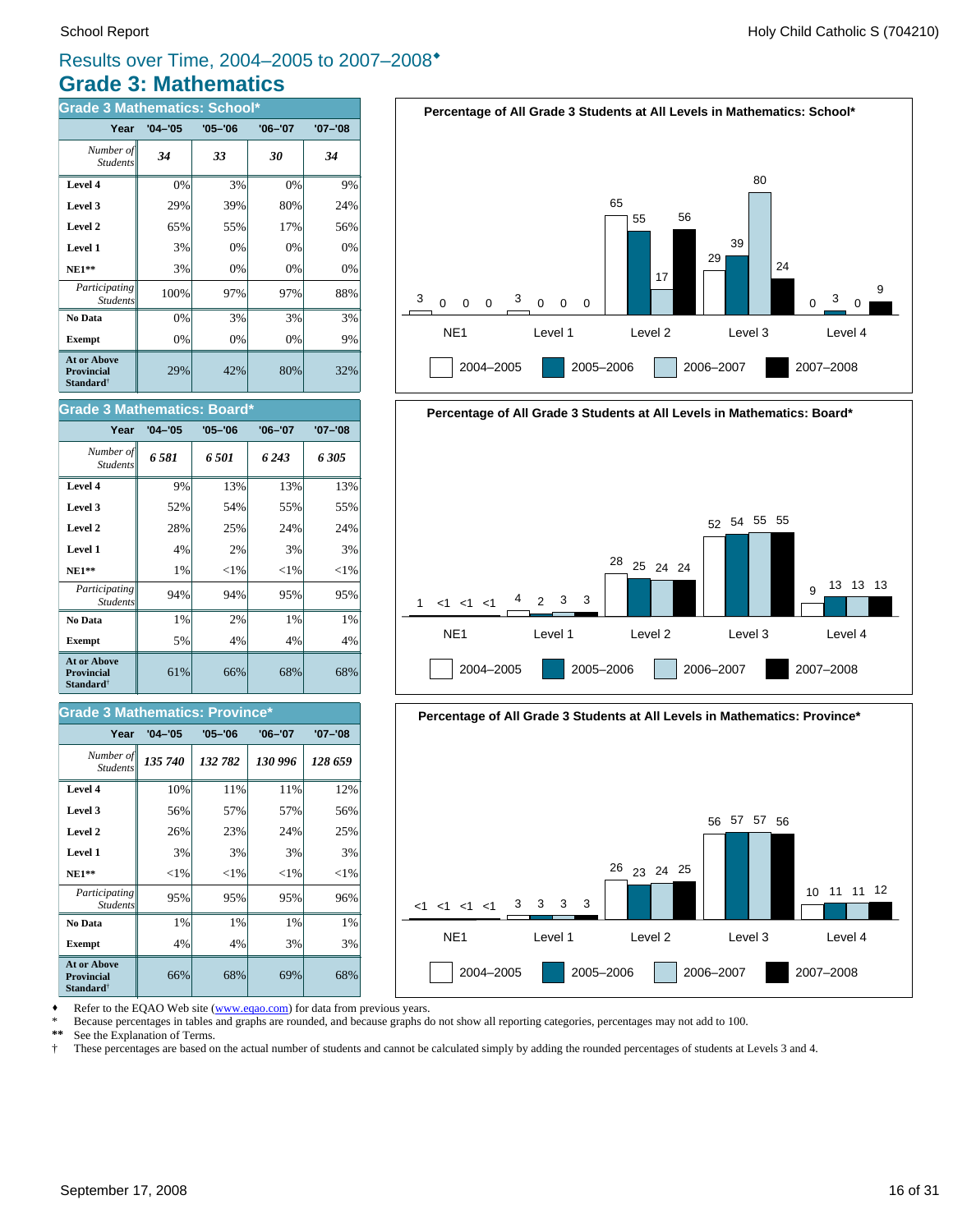### **Grade 3: Mathematics** Results over Time, 2004–2005 to 2007–2008<sup>\*</sup>

| <b>Grade 3 Mathematics: School*</b>                                     |             |             |             |             |
|-------------------------------------------------------------------------|-------------|-------------|-------------|-------------|
| Year                                                                    | $'04 - '05$ | $'05 - '06$ | $'06 - '07$ | $'07 - '08$ |
| Number of<br><b>Students</b>                                            | 34          | 33          | 30          | 34          |
| Level 4                                                                 | 0%          | 3%          | 0%          | 9%          |
| Level 3                                                                 | 29%         | 39%         | 80%         | 24%         |
| Level 2                                                                 | 65%         | 55%         | 17%         | 56%         |
| Level 1                                                                 | 3%          | 0%          | 0%          | 0%          |
| $NE1**$                                                                 | 3%          | 0%          | $0\%$       | 0%          |
| Participating<br><b>Students</b>                                        | 100%        | 97%         | 97%         | 88%         |
| No Data                                                                 | 0%          | 3%          | 3%          | 3%          |
| <b>Exempt</b>                                                           | 0%          | 0%          | 0%          | 9%          |
| <b>At or Above</b><br><b>Provincial</b><br><b>Standard</b> <sup>†</sup> | 29%         | 42%         | 80%         | 32%         |

| <b>Grade 3 Mathematics: Board*</b>                                      |             |             |             |             |  |
|-------------------------------------------------------------------------|-------------|-------------|-------------|-------------|--|
| Year                                                                    | $'04 - '05$ | $'05 - '06$ | $'06 - '07$ | $'07 - '08$ |  |
| Number of<br><b>Students</b>                                            | 6.581       | 6.501       | 6 243       | 6305        |  |
| Level 4                                                                 | 9%          | 13%         | 13%         | 13%         |  |
| Level 3                                                                 | 52%         | 54%         | 55%         | 55%         |  |
| Level 2                                                                 | 28%         | 25%         | 24%         | 24%         |  |
| Level 1                                                                 | 4%          | 2%          | 3%          | 3%          |  |
| $NE1**$                                                                 | 1%          | ${<}1\%$    | ${<}1\%$    | ${<}1\%$    |  |
| Participating<br><b>Students</b>                                        | 94%         | 94%         | 95%         | 95%         |  |
| No Data                                                                 | 1%          | 2%          | 1%          | 1%          |  |
| <b>Exempt</b>                                                           | 5%          | 4%          | 4%          | 4%          |  |
| <b>At or Above</b><br><b>Provincial</b><br><b>Standard</b> <sup>†</sup> | 61%         | 66%         | 68%         | 68%         |  |

#### **Grade 3 Mathematics: Province\***

| Year                                                                    | $'04 - '05$ | $'05 - '06$ | $'06 - '07$ | $'07 - '08$ |
|-------------------------------------------------------------------------|-------------|-------------|-------------|-------------|
| Number of<br><b>Students</b>                                            | 135 740     | 132 782     | 130 996     | 128 659     |
| Level 4                                                                 | 10%         | 11%         | 11%         | 12%         |
| Level 3                                                                 | 56%         | 57%         | 57%         | 56%         |
| Level 2                                                                 | 26%         | 23%         | 24%         | 25%         |
| Level 1                                                                 | 3%          | 3%          | 3%          | 3%          |
| $NE1**$                                                                 | ${<}1\%$    | ${<}1\%$    | ${<}1\%$    | ${<}1\%$    |
| Participating<br><b>Students</b>                                        | 95%         | 95%         | 95%         | 96%         |
| No Data                                                                 | 1%          | 1%          | 1%          | 1%          |
| <b>Exempt</b>                                                           | 4%          | 4%          | 3%          | 3%          |
| <b>At or Above</b><br><b>Provincial</b><br><b>Standard</b> <sup>†</sup> | 66%         | 68%         | 69%         | 68%         |







2004–2005 2005–2006 2006–2007 2007–2008

Refer to the EQAO Web site (www.eqao.com) for data from previous years.

\* Because percentages in tables and graphs are rounded, and because graphs do not show all reporting categories, percentages may not add to 100.<br>\*\* See the Explanation of Terms

\*\* See the Explanation of Terms.<br><sup>†</sup> These percentages are based on

† These percentages are based on the actual number of students and cannot be calculated simply by adding the rounded percentages of students at Levels 3 and 4.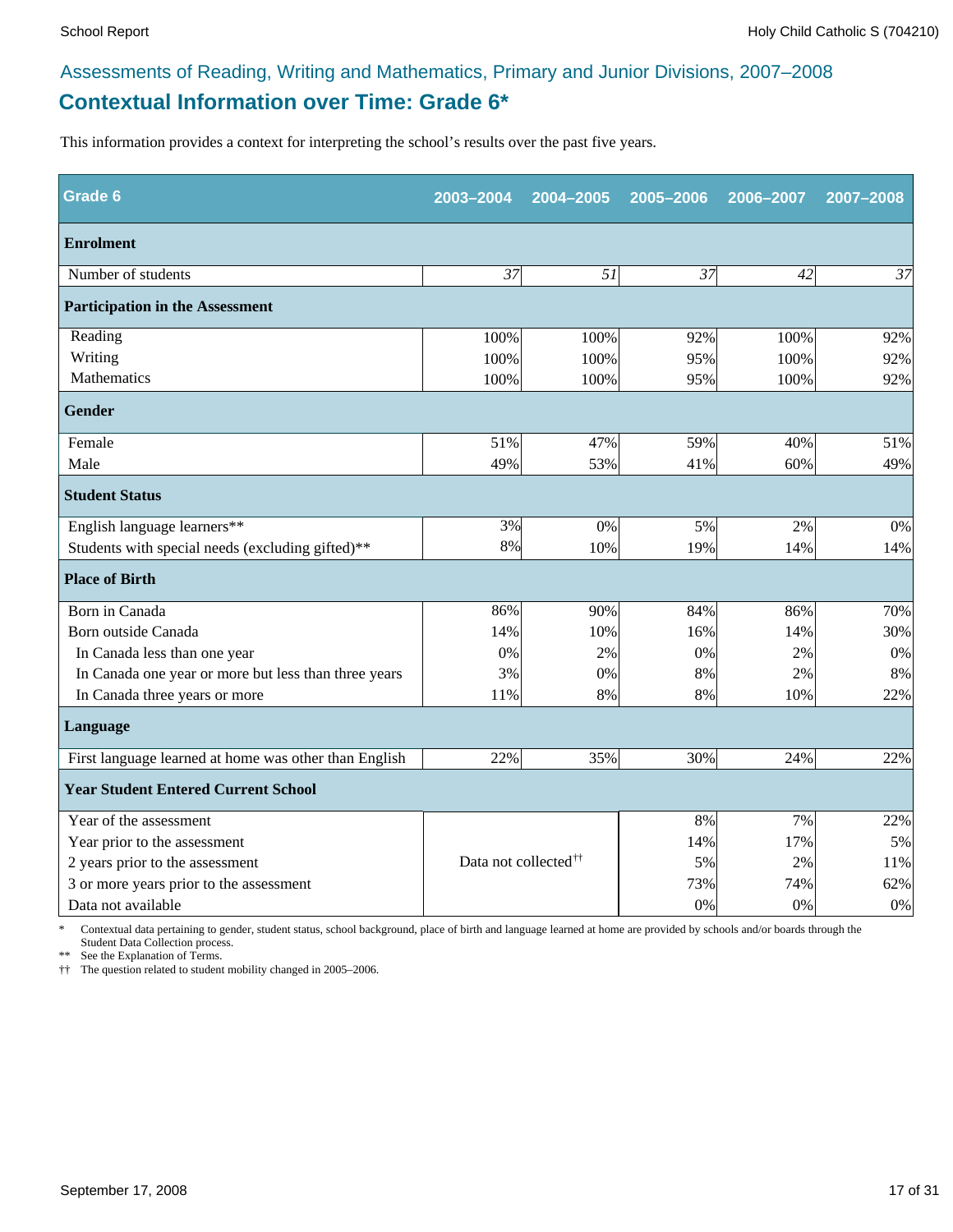### **Contextual Information over Time: Grade 6\*** Assessments of Reading, Writing and Mathematics, Primary and Junior Divisions, 2007–2008

This information provides a context for interpreting the school's results over the past five years.

| <b>Grade 6</b>                                        | 2003-2004                        | 2004-2005 | 2005-2006 | 2006-2007 | 2007-2008 |
|-------------------------------------------------------|----------------------------------|-----------|-----------|-----------|-----------|
| <b>Enrolment</b>                                      |                                  |           |           |           |           |
| Number of students                                    | 37                               | 51        | 37        | 42        | 37        |
| <b>Participation in the Assessment</b>                |                                  |           |           |           |           |
| Reading                                               | 100%                             | 100%      | 92%       | 100%      | 92%       |
| Writing                                               | 100%                             | 100%      | 95%       | 100%      | 92%       |
| Mathematics                                           | 100%                             | 100%      | 95%       | 100%      | 92%       |
| <b>Gender</b>                                         |                                  |           |           |           |           |
| Female                                                | 51%                              | 47%       | 59%       | 40%       | 51%       |
| Male                                                  | 49%                              | 53%       | 41%       | 60%       | 49%       |
| <b>Student Status</b>                                 |                                  |           |           |           |           |
| English language learners**                           | 3%                               | 0%        | 5%        | 2%        | 0%        |
| Students with special needs (excluding gifted)**      | 8%                               | 10%       | 19%       | 14%       | 14%       |
| <b>Place of Birth</b>                                 |                                  |           |           |           |           |
| Born in Canada                                        | 86%                              | 90%       | 84%       | 86%       | 70%       |
| Born outside Canada                                   | 14%                              | 10%       | 16%       | 14%       | 30%       |
| In Canada less than one year                          | 0%                               | 2%        | 0%        | 2%        | 0%        |
| In Canada one year or more but less than three years  | 3%                               | 0%        | 8%        | 2%        | 8%        |
| In Canada three years or more                         | 11%                              | 8%        | 8%        | 10%       | 22%       |
| Language                                              |                                  |           |           |           |           |
| First language learned at home was other than English | 22%                              | 35%       | 30%       | 24%       | 22%       |
| <b>Year Student Entered Current School</b>            |                                  |           |           |           |           |
| Year of the assessment                                |                                  |           | 8%        | 7%        | 22%       |
| Year prior to the assessment                          |                                  |           | 14%       | 17%       | 5%        |
| 2 years prior to the assessment                       | Data not collected <sup>††</sup> |           | 5%        | 2%        | 11%       |
| 3 or more years prior to the assessment               |                                  |           | 73%       | 74%       | 62%       |
| Data not available                                    |                                  |           | 0%        | 0%        | $0\%$     |

\* Contextual data pertaining to gender, student status, school background, place of birth and language learned at home are provided by schools and/or boards through the Student Data Collection process.

\*\* See the Explanation of Terms.

†† The question related to student mobility changed in 2005–2006.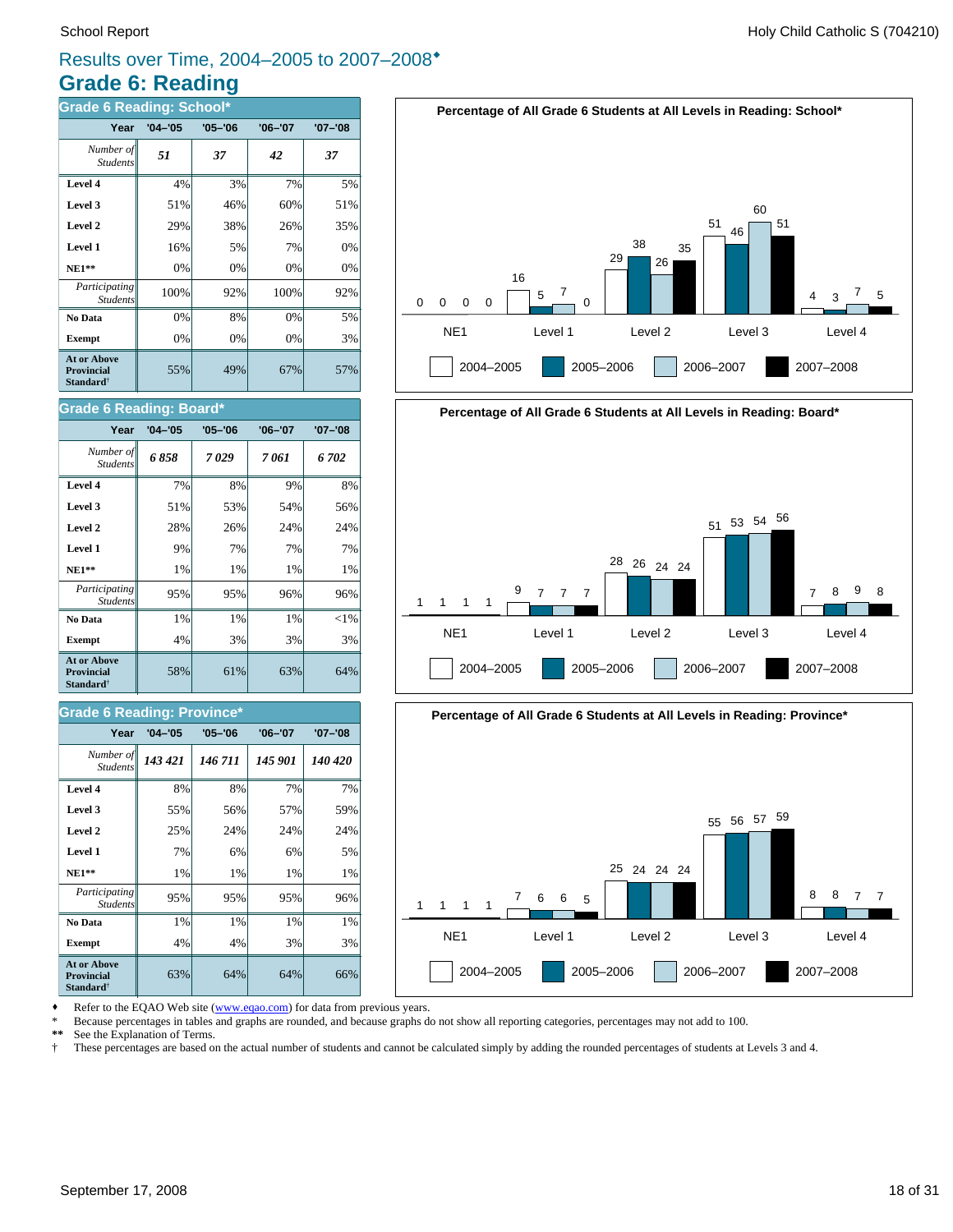### **Grade 6: Reading** Results over Time, 2004–2005 to 2007–2008<sup>\*</sup>

| <b>Grade 6 Reading: School*</b>                                  |             |             |             |             |  |
|------------------------------------------------------------------|-------------|-------------|-------------|-------------|--|
| Year                                                             | $'04 - '05$ | $'05 - '06$ | $'06 - '07$ | $'07 - '08$ |  |
| Number of<br><b>Students</b>                                     | 51          | 37          | 42          | 37          |  |
| Level 4                                                          | 4%          | 3%          | 7%          | 5%          |  |
| Level 3                                                          | 51%         | 46%         | 60%         | 51%         |  |
| Level 2                                                          | 29%         | 38%         | 26%         | 35%         |  |
| Level 1                                                          | 16%         | 5%          | 7%          | 0%          |  |
| $NE1**$                                                          | 0%          | 0%          | 0%          | 0%          |  |
| Participating<br><b>Students</b>                                 | 100%        | 92%         | 100%        | 92%         |  |
| No Data                                                          | 0%          | 8%          | 0%          | 5%          |  |
| <b>Exempt</b>                                                    | 0%          | 0%          | 0%          | 3%          |  |
| <b>At or Above</b><br>Provincial<br><b>Standard</b> <sup>†</sup> | 55%         | 49%         | 67%         | 57%         |  |







Refer to the EQAO Web site (www.eqao.com) for data from previous years.

\* Because percentages in tables and graphs are rounded, and because graphs do not show all reporting categories, percentages may not add to 100.

**\*\*** See the Explanation of Terms.

† These percentages are based on the actual number of students and cannot be calculated simply by adding the rounded percentages of students at Levels 3 and 4.

#### **Level 3**  $\begin{vmatrix} 51\% & 53\% \end{vmatrix}$  54% 56% **Level 4** 7% 8% 9% 8%

**Grade 6 Reading: Board\***

Student.

| Level 2                                                      | 28% | 26% | 24% | 24%      |
|--------------------------------------------------------------|-----|-----|-----|----------|
| Level 1                                                      | 9%  | 7%  | 7%  | 7%       |
| $NE1**$                                                      | 1%  | 1%  | 1%  | 1%       |
| Participating<br><b>Students</b>                             | 95% | 95% | 96% | 96%      |
| No Data                                                      | 1%  | 1%  | 1%  | ${<}1\%$ |
| <b>Exempt</b>                                                | 4%  | 3%  | 3%  | 3%       |
| <b>At or Above</b><br><b>Provincial</b><br><b>Standard</b> † | 58% | 61% | 63% | 64%      |
|                                                              |     |     |     |          |

*6 858 7 029 7 061 6 702 Number of*

**Year '04–'05 '05–'06 '06–'07 '07–'08**

#### **Grade 6 Reading: Province\***

| Year                                                                    | $'04 - '05$ | $'05 - '06$ | $'06 - '07$ | $'07 - '08$ |
|-------------------------------------------------------------------------|-------------|-------------|-------------|-------------|
| Number of<br><b>Students</b>                                            | 143 421     | 146 711     | 145 901     | 140 420     |
| Level 4                                                                 | 8%          | 8%          | 7%          | 7%          |
| Level 3                                                                 | 55%         | 56%         | 57%         | 59%         |
| Level 2                                                                 | 25%         | 24%         | 24%         | 24%         |
| Level 1                                                                 | 7%          | 6%          | 6%          | 5%          |
| $NE1**$                                                                 | 1%          | 1%          | 1%          | 1%          |
| <i>Participating</i><br><b>Students</b>                                 | 95%         | 95%         | 95%         | 96%         |
| No Data                                                                 | 1%          | 1%          | 1%          | 1%          |
| <b>Exempt</b>                                                           | 4%          | 4%          | 3%          | 3%          |
| <b>At or Above</b><br><b>Provincial</b><br><b>Standard</b> <sup>†</sup> | 63%         | 64%         | 64%         | 66%         |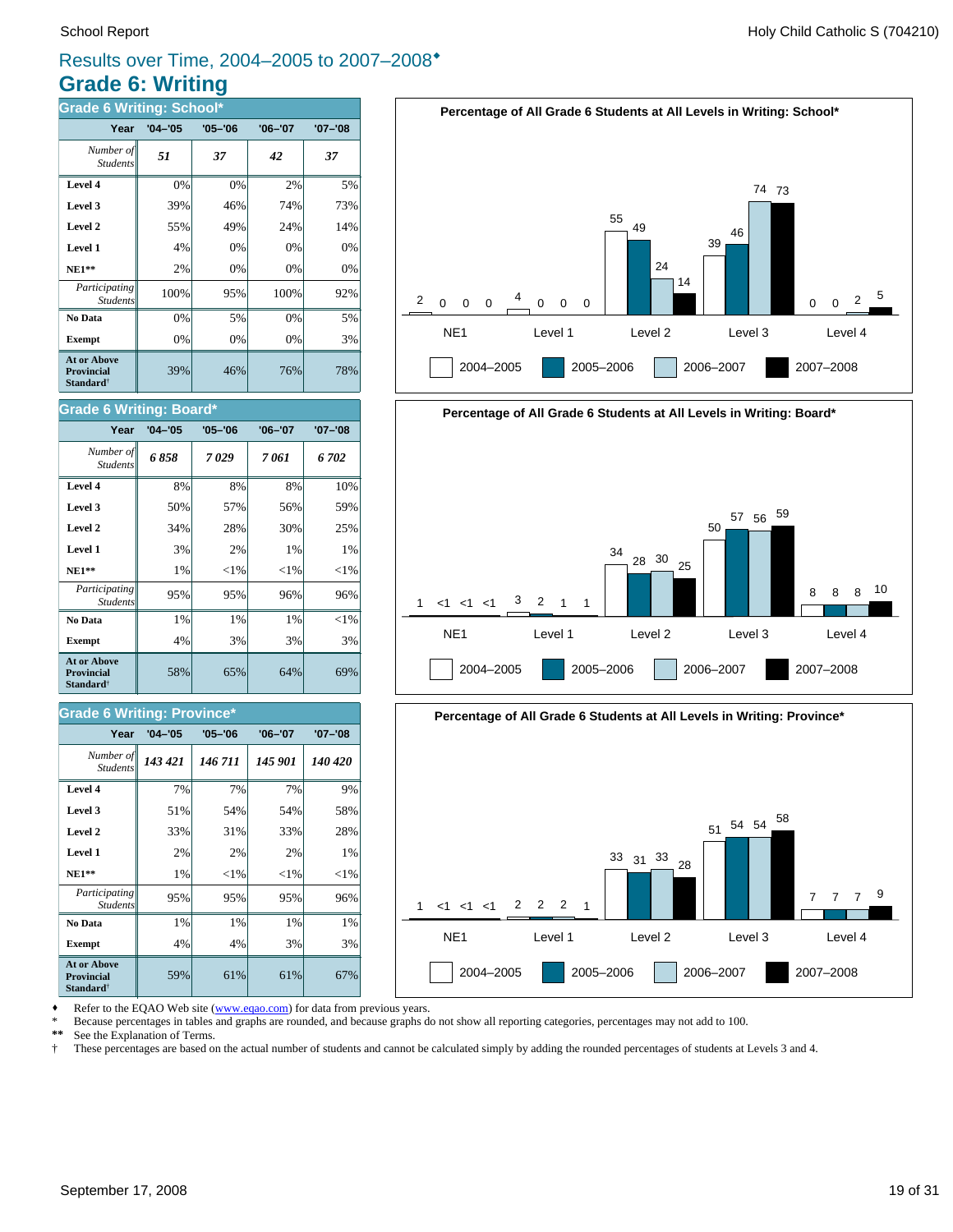### **Grade 6: Writing** Results over Time, 2004–2005 to 2007–2008<sup>\*</sup>

| <b>Grade 6 Writing: School*</b>                                  |             |             |             |             |  |
|------------------------------------------------------------------|-------------|-------------|-------------|-------------|--|
| Year                                                             | $'04 - '05$ | $'05 - '06$ | $'06 - '07$ | $'07 - '08$ |  |
| Number of<br><b>Students</b>                                     | 51          | 37          | 42          | 37          |  |
| Level 4                                                          | 0%          | 0%          | 2%          | 5%          |  |
| Level 3                                                          | 39%         | 46%         | 74%         | 73%         |  |
| Level 2                                                          | 55%         | 49%         | 24%         | 14%         |  |
| Level 1                                                          | 4%          | 0%          | 0%          | 0%          |  |
| $NE1**$                                                          | 2%          | 0%          | 0%          | 0%          |  |
| Participating<br><b>Students</b>                                 | 100%        | 95%         | 100%        | 92%         |  |
| No Data                                                          | 0%          | 5%          | 0%          | 5%          |  |
| <b>Exempt</b>                                                    | 0%          | 0%          | 0%          | 3%          |  |
| <b>At or Above</b><br><b>Provincial</b><br>Standard <sup>†</sup> | 39%         | 46%         | 76%         | 78%         |  |

| <b>Grade 6 Writing: Board*</b>                                   |             |             |             |             |  |
|------------------------------------------------------------------|-------------|-------------|-------------|-------------|--|
| Year                                                             | $'04 - '05$ | $'05 - '06$ | $'06 - '07$ | $'07 - '08$ |  |
| Number of<br><b>Students</b>                                     | 6858        | 7029        | 7 061       | 6 702       |  |
| Level 4                                                          | 8%          | 8%          | 8%          | 10%         |  |
| Level 3                                                          | 50%         | 57%         | 56%         | 59%         |  |
| Level 2                                                          | 34%         | 28%         | 30%         | 25%         |  |
| Level 1                                                          | 3%          | 2%          | 1%          | $1\%$       |  |
| $NE1**$                                                          | 1%          | ${<}1\%$    | ${<}1\%$    | ${<}1\%$    |  |
| Participating<br><b>Students</b>                                 | 95%         | 95%         | 96%         | 96%         |  |
| No Data                                                          | 1%          | 1%          | 1%          | ${<}1\%$    |  |
| <b>Exempt</b>                                                    | 4%          | 3%          | 3%          | 3%          |  |
| At or Above<br><b>Provincial</b><br><b>Standard</b> <sup>†</sup> | 58%         | 65%         | 64%         | 69%         |  |

#### **Grade 6 Writing: Province\***

| Year                                                                    | $'04 - '05$ | $'05 - '06$ | $'06 - '07$ | $'07 - '08$ |
|-------------------------------------------------------------------------|-------------|-------------|-------------|-------------|
| Number of<br><b>Students</b>                                            | 143 421     | 146 711     | 145 901     | 140 420     |
| Level 4                                                                 | 7%          | 7%          | 7%          | 9%          |
| Level 3                                                                 | 51%         | 54%         | 54%         | 58%         |
| Level 2                                                                 | 33%         | 31%         | 33%         | 28%         |
| Level 1                                                                 | 2%          | 2%          | 2%          | 1%          |
| $NE1**$                                                                 | 1%          | ${<}1\%$    | ${<}1\%$    | ${<}1\%$    |
| Participating<br><b>Students</b>                                        | 95%         | 95%         | 95%         | 96%         |
| No Data                                                                 | 1%          | 1%          | 1%          | 1%          |
| <b>Exempt</b>                                                           | 4%          | 4%          | 3%          | 3%          |
| <b>At or Above</b><br><b>Provincial</b><br><b>Standard</b> <sup>†</sup> | 59%         | 61%         | 61%         | 67%         |







Refer to the EQAO Web site (www.eqao.com) for data from previous years.

\* Because percentages in tables and graphs are rounded, and because graphs do not show all reporting categories, percentages may not add to 100.<br>\*\* See the Explanation of Terms

\*\* See the Explanation of Terms.<br><sup>†</sup> These percentages are based on

† These percentages are based on the actual number of students and cannot be calculated simply by adding the rounded percentages of students at Levels 3 and 4.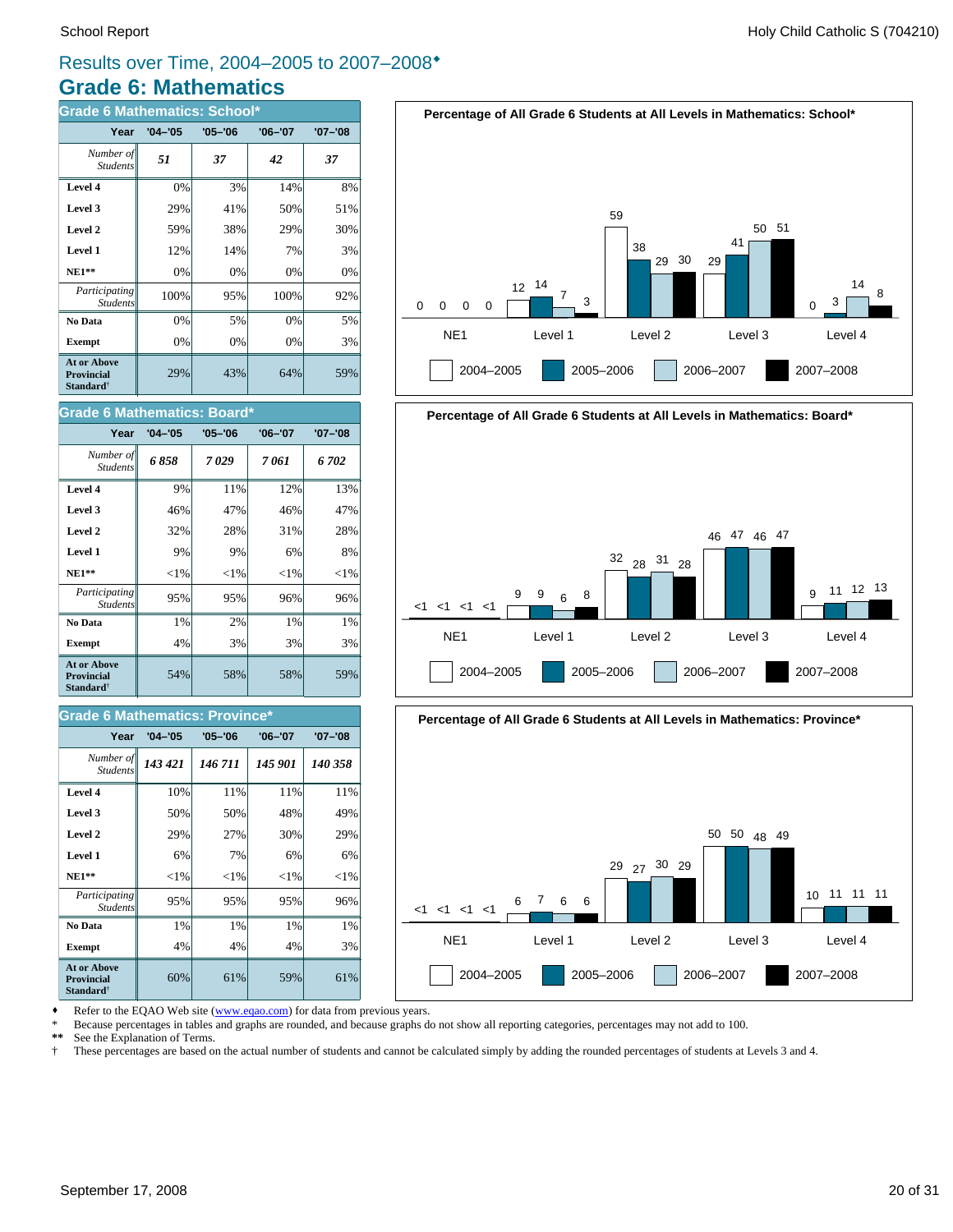### **Grade 6: Mathematics** Results over Time, 2004–2005 to 2007–2008<sup>\*</sup>

| <b>Grade 6 Mathematics: School*</b>                                     |             |             |             |             |
|-------------------------------------------------------------------------|-------------|-------------|-------------|-------------|
| Year                                                                    | $'04 - '05$ | $'05 - '06$ | $'06 - '07$ | $'07 - '08$ |
| Number of<br><b>Students</b>                                            | 51          | 37          | 42          | 37          |
| Level 4                                                                 | 0%          | 3%          | 14%         | 8%          |
| Level 3                                                                 | 29%         | 41%         | 50%         | 51%         |
| Level 2                                                                 | 59%         | 38%         | 29%         | 30%         |
| Level 1                                                                 | 12%         | 14%         | 7%          | 3%          |
| $NE1**$                                                                 | 0%          | 0%          | 0%          | 0%          |
| Participating<br><b>Students</b>                                        | 100%        | 95%         | 100%        | 92%         |
| No Data                                                                 | 0%          | 5%          | 0%          | 5%          |
| <b>Exempt</b>                                                           | 0%          | 0%          | 0%          | 3%          |
| <b>At or Above</b><br><b>Provincial</b><br><b>Standard</b> <sup>†</sup> | 29%         | 43%         | 64%         | 59%         |







| Year                                                                    | $'04 - '05$ | $'05 - '06$ | $'06 - '07$ | $'07 - '08$ |
|-------------------------------------------------------------------------|-------------|-------------|-------------|-------------|
| Number of<br><b>Students</b>                                            | 6858        | 7029        | 7 061       | 6 702       |
| Level 4                                                                 | 9%          | 11%         | 12%         | 13%         |
| Level 3                                                                 | 46%         | 47%         | 46%         | 47%         |
| Level 2                                                                 | 32%         | 28%         | 31%         | 28%         |
| Level 1                                                                 | 9%          | 9%          | 6%          | 8%          |
| $NE1**$                                                                 | ${<}1\%$    | ${<}1\%$    | ${<}1\%$    | ${<}1\%$    |
| Participating<br><b>Students</b>                                        | 95%         | 95%         | 96%         | 96%         |
| No Data                                                                 | 1%          | 2%          | 1%          | $1\%$       |
| <b>Exempt</b>                                                           | 4%          | 3%          | 3%          | 3%          |
| <b>At or Above</b><br><b>Provincial</b><br><b>Standard</b> <sup>†</sup> | 54%         | 58%         | 58%         | 59%         |

#### **Grade 6 Mathematics: Province\***

| Year                                                             | $'04 - '05$ | $'05 - '06$ | $'06 - '07$ | $'07 - '08$ |
|------------------------------------------------------------------|-------------|-------------|-------------|-------------|
| Number of<br><b>Students</b>                                     | 143 421     | 146 711     | 145 901     | 140 358     |
| Level 4                                                          | 10%         | 11%         | 11%         | 11%         |
| Level 3                                                          | 50%         | 50%         | 48%         | 49%         |
| Level 2                                                          | 29%         | 27%         | 30%         | 29%         |
| Level 1                                                          | 6%          | 7%          | 6%          | 6%          |
| $NE1**$                                                          | ${<}1\%$    | ${<}1\%$    | ${<}1\%$    | ${<}1\%$    |
| <i>Participating</i><br><b>Students</b>                          | 95%         | 95%         | 95%         | 96%         |
| No Data                                                          | 1%          | 1%          | 1%          | 1%          |
| <b>Exempt</b>                                                    | 4%          | 4%          | 4%          | 3%          |
| At or Above<br><b>Provincial</b><br><b>Standard</b> <sup>†</sup> | 60%         | 61%         | 59%         | 61%         |





Refer to the EQAO Web site (www.eqao.com) for data from previous years.

\* Because percentages in tables and graphs are rounded, and because graphs do not show all reporting categories, percentages may not add to 100.

**\*\*** See the Explanation of Terms.

† These percentages are based on the actual number of students and cannot be calculated simply by adding the rounded percentages of students at Levels 3 and 4.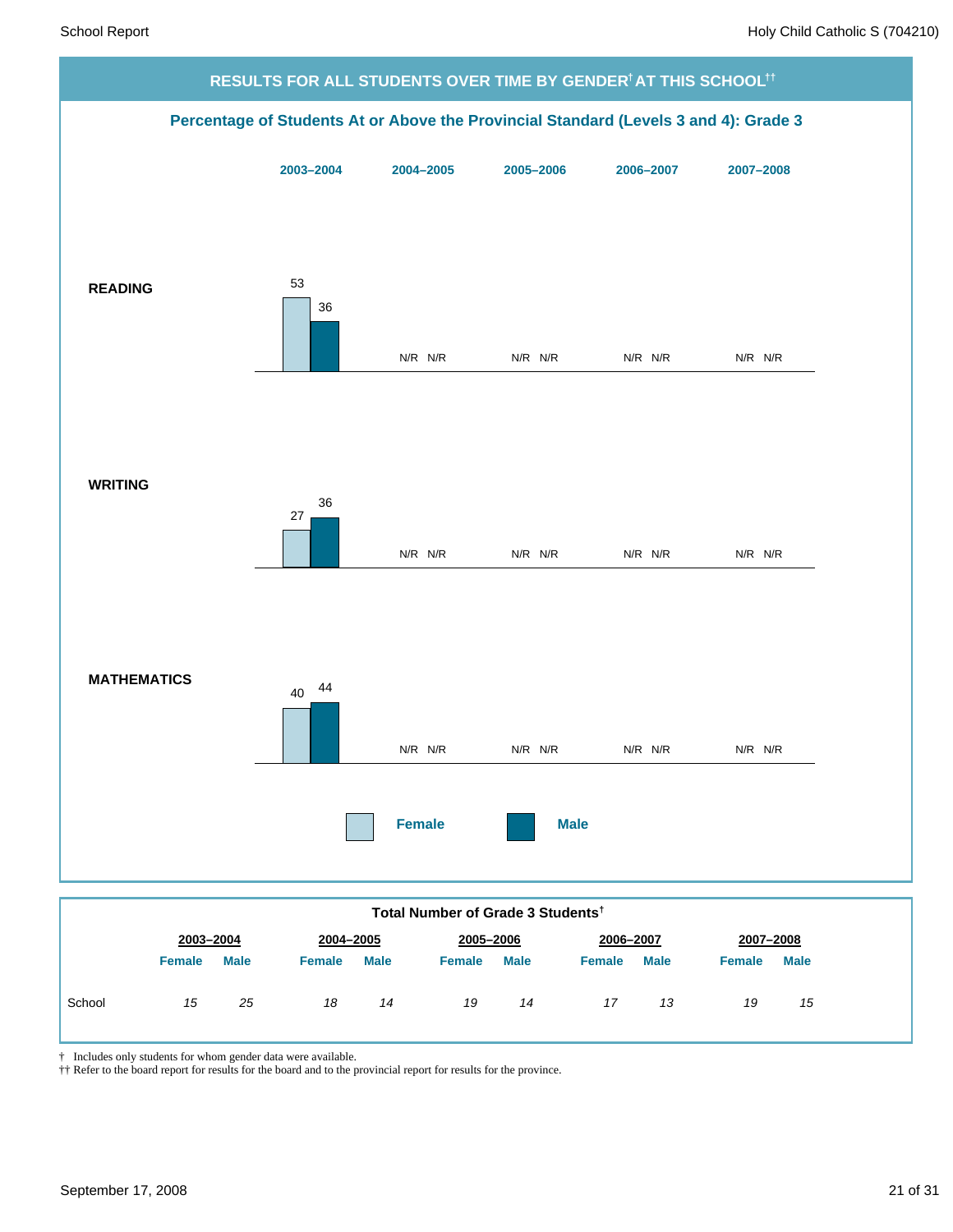

*19 14*

*17 13*

*19 15*

|  |  |  |  | † Includes only students for whom gender data were available. |
|--|--|--|--|---------------------------------------------------------------|
|  |  |  |  |                                                               |

†† Refer to the board report for results for the board and to the provincial report for results for the province.

*15 25 18 14*

School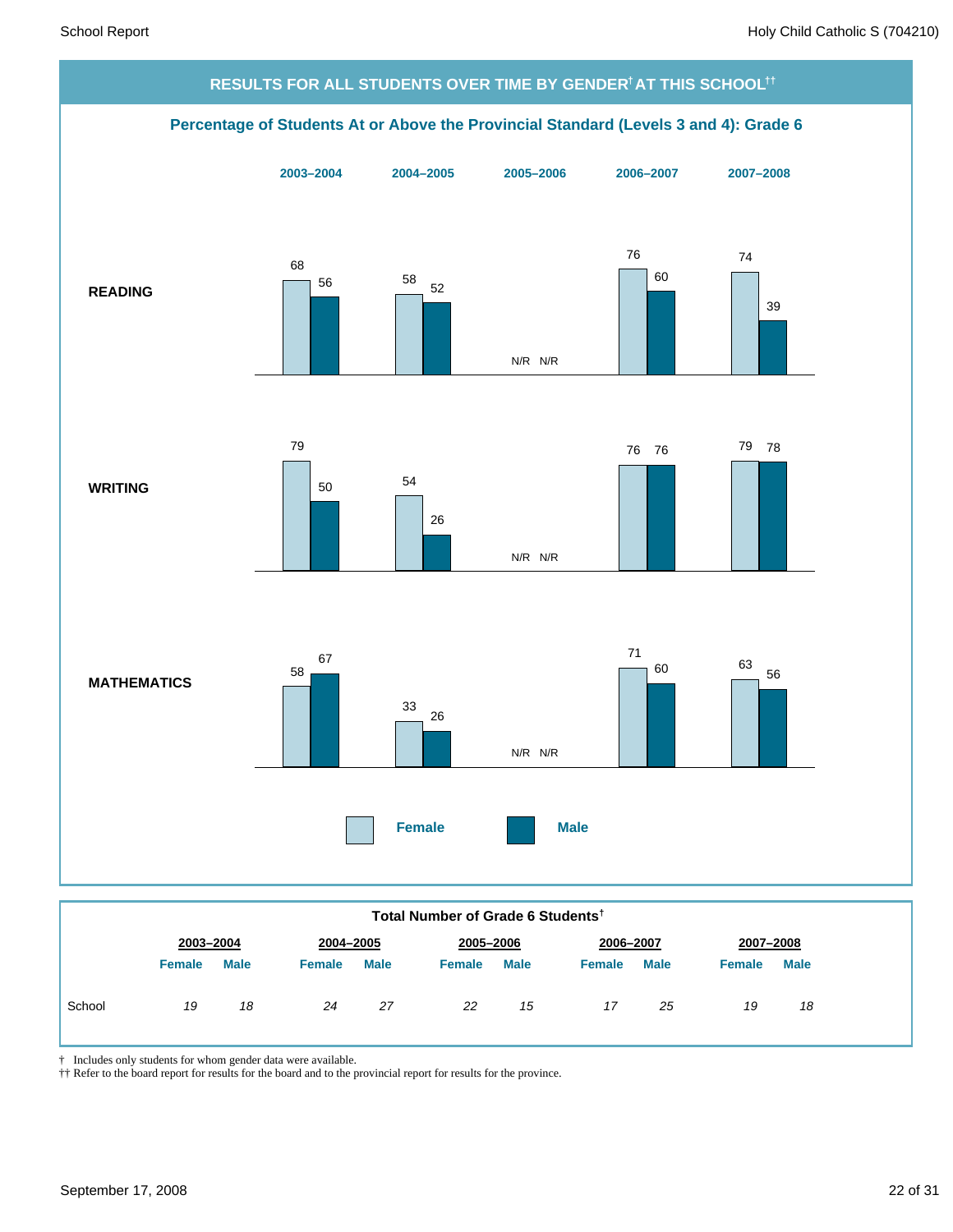

#### **Total Number of Grade 6 Students†**

| <b>Male</b><br><b>Male</b><br><b>Male</b><br><b>Male</b><br><b>Male</b><br><b>Female</b><br><b>Female</b><br><b>Female</b><br><b>Female</b><br><b>Female</b><br>19<br>18<br>27<br>School<br>17<br>18<br>22<br>19<br>24<br>25<br>15 |  | 2003-2004<br>2004-2005 |  | 2005-2006 | 2006-2007 |  | 2007-2008 |  |  |
|------------------------------------------------------------------------------------------------------------------------------------------------------------------------------------------------------------------------------------|--|------------------------|--|-----------|-----------|--|-----------|--|--|
|                                                                                                                                                                                                                                    |  |                        |  |           |           |  |           |  |  |
|                                                                                                                                                                                                                                    |  |                        |  |           |           |  |           |  |  |

† Includes only students for whom gender data were available.

†† Refer to the board report for results for the board and to the provincial report for results for the province.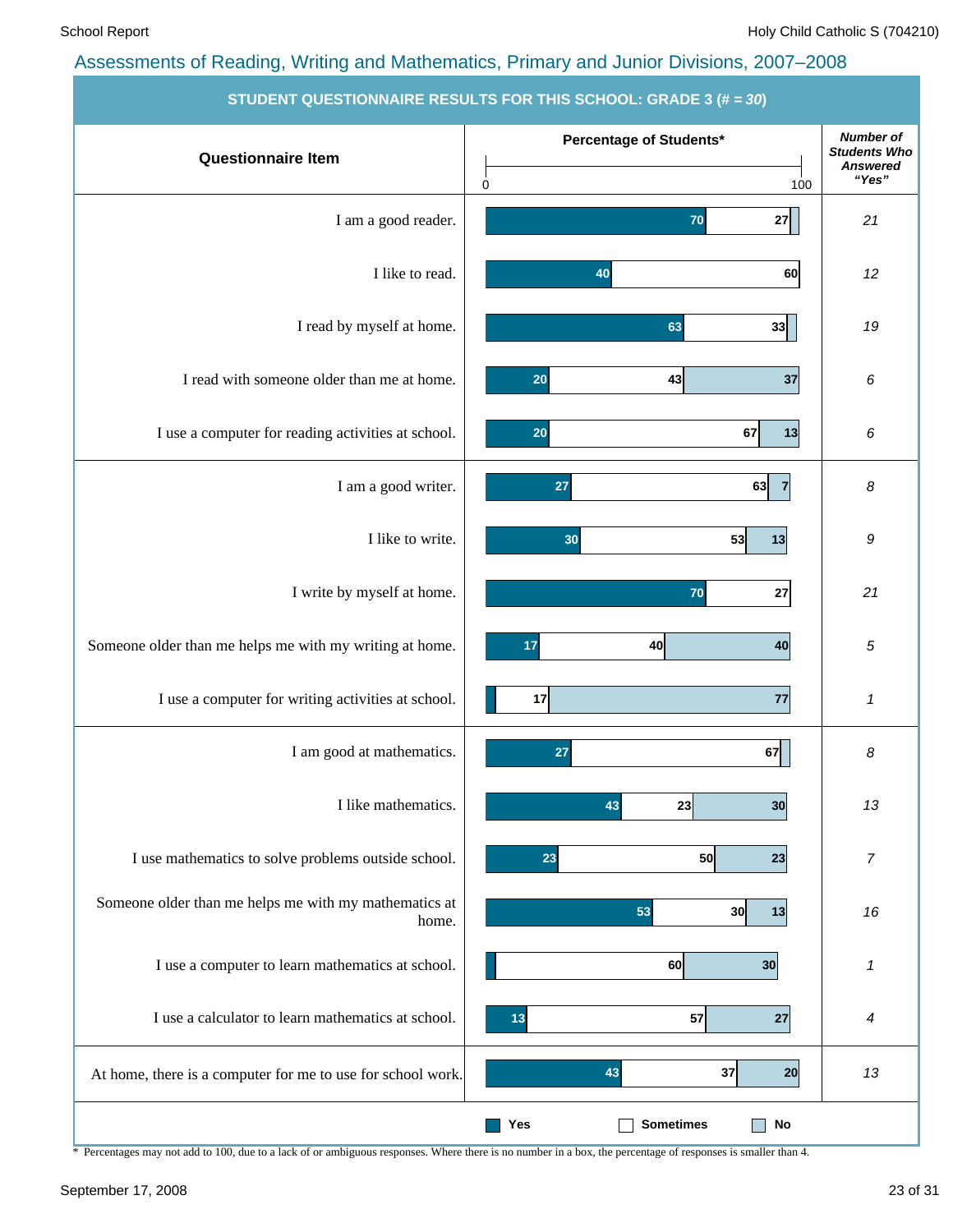|                                                                | <b>STUDENT QUESTIONNAIRE RESULTS FOR THIS SCHOOL: GRADE 3 (# = 30)</b> |                                                                     |
|----------------------------------------------------------------|------------------------------------------------------------------------|---------------------------------------------------------------------|
| <b>Questionnaire Item</b>                                      | Percentage of Students*<br>$\mathbf 0$<br>100                          | <b>Number of</b><br><b>Students Who</b><br><b>Answered</b><br>"Yes" |
| I am a good reader.                                            | 27<br>70                                                               | 21                                                                  |
| I like to read.                                                | 60<br>40                                                               | 12                                                                  |
| I read by myself at home.                                      | 63<br>33                                                               | 19                                                                  |
| I read with someone older than me at home.                     | 20<br>43<br>37                                                         | 6                                                                   |
| I use a computer for reading activities at school.             | 67<br>13<br>20                                                         | 6                                                                   |
| I am a good writer.                                            | 63<br>27                                                               | 8                                                                   |
| I like to write.                                               | 53<br>30<br>13                                                         | 9                                                                   |
| I write by myself at home.                                     | 70<br>27                                                               | 21                                                                  |
| Someone older than me helps me with my writing at home.        | 40<br>17<br>40                                                         | 5                                                                   |
| I use a computer for writing activities at school.             | 17<br>77                                                               | 1                                                                   |
| I am good at mathematics.                                      | 67<br>27                                                               | 8                                                                   |
| I like mathematics.                                            | 43<br>23<br>30                                                         | 13                                                                  |
| I use mathematics to solve problems outside school.            | 50<br>23<br>23                                                         | $\overline{7}$                                                      |
| Someone older than me helps me with my mathematics at<br>home. | 53<br>30<br>13                                                         | 16                                                                  |
| I use a computer to learn mathematics at school.               | 60<br>30                                                               | 1                                                                   |
| I use a calculator to learn mathematics at school.             | 57<br>27<br>13                                                         | 4                                                                   |
| At home, there is a computer for me to use for school work.    | 37<br>43<br>20                                                         | 13                                                                  |
|                                                                | <b>Sometimes</b><br><b>No</b><br>Yes                                   |                                                                     |

\* Percentages may not add to 100, due to a lack of or ambiguous responses. Where there is no number in a box, the percentage of responses is smaller than 4.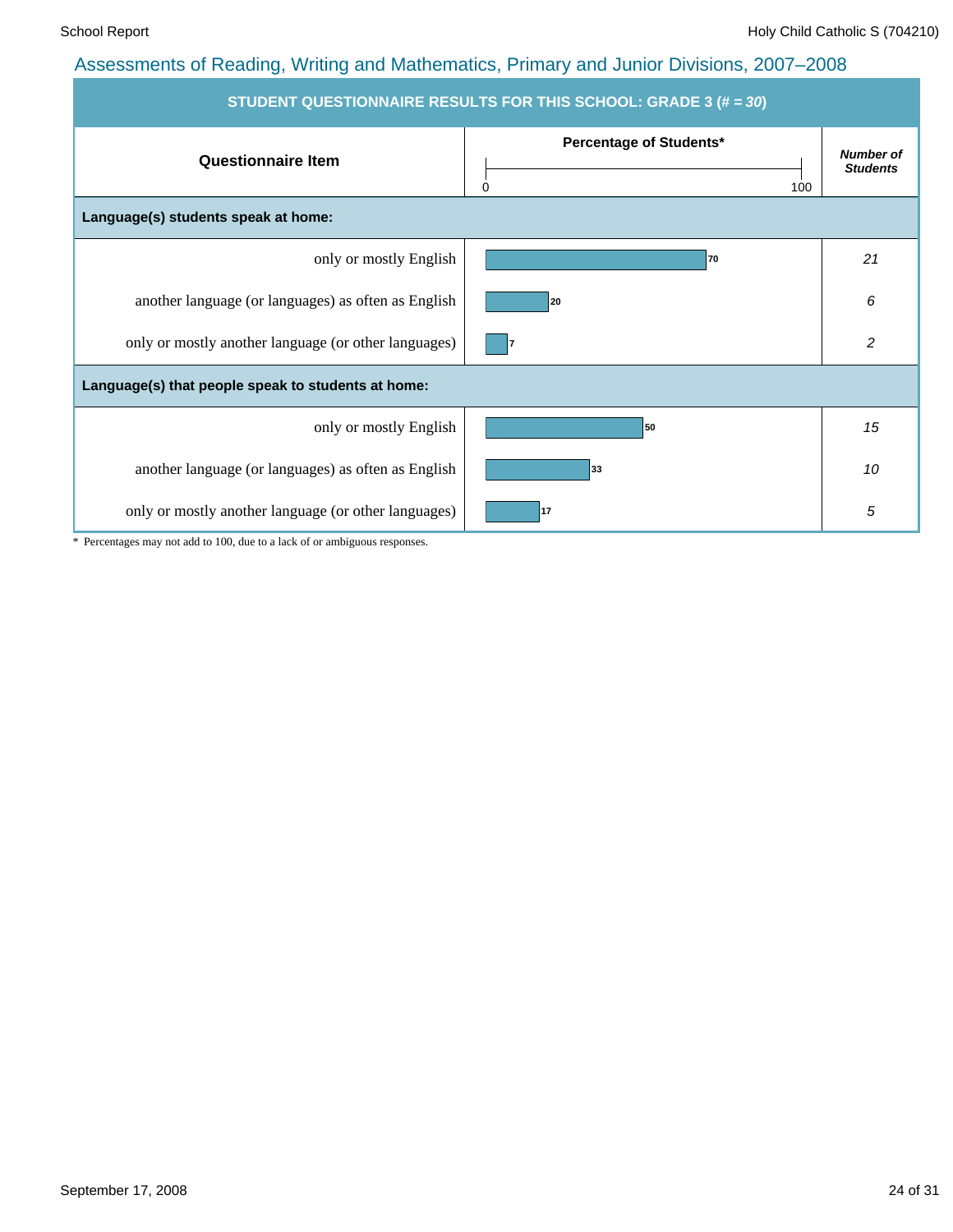| STUDENT QUESTIONNAIRE RESULTS FOR THIS SCHOOL: GRADE 3 (# = 30) |                                     |                                     |  |  |  |  |  |  |  |  |
|-----------------------------------------------------------------|-------------------------------------|-------------------------------------|--|--|--|--|--|--|--|--|
| <b>Questionnaire Item</b>                                       | Percentage of Students*<br>0<br>100 | <b>Number of</b><br><b>Students</b> |  |  |  |  |  |  |  |  |
| Language(s) students speak at home:                             |                                     |                                     |  |  |  |  |  |  |  |  |
| only or mostly English                                          | 70                                  | 21                                  |  |  |  |  |  |  |  |  |
| another language (or languages) as often as English             | 20                                  | 6                                   |  |  |  |  |  |  |  |  |
| only or mostly another language (or other languages)            |                                     | $\overline{c}$                      |  |  |  |  |  |  |  |  |
| Language(s) that people speak to students at home:              |                                     |                                     |  |  |  |  |  |  |  |  |
| only or mostly English                                          | 50                                  | 15                                  |  |  |  |  |  |  |  |  |
| another language (or languages) as often as English             | 33                                  | 10                                  |  |  |  |  |  |  |  |  |
| only or mostly another language (or other languages)            | 17                                  | 5                                   |  |  |  |  |  |  |  |  |

\* Percentages may not add to 100, due to a lack of or ambiguous responses.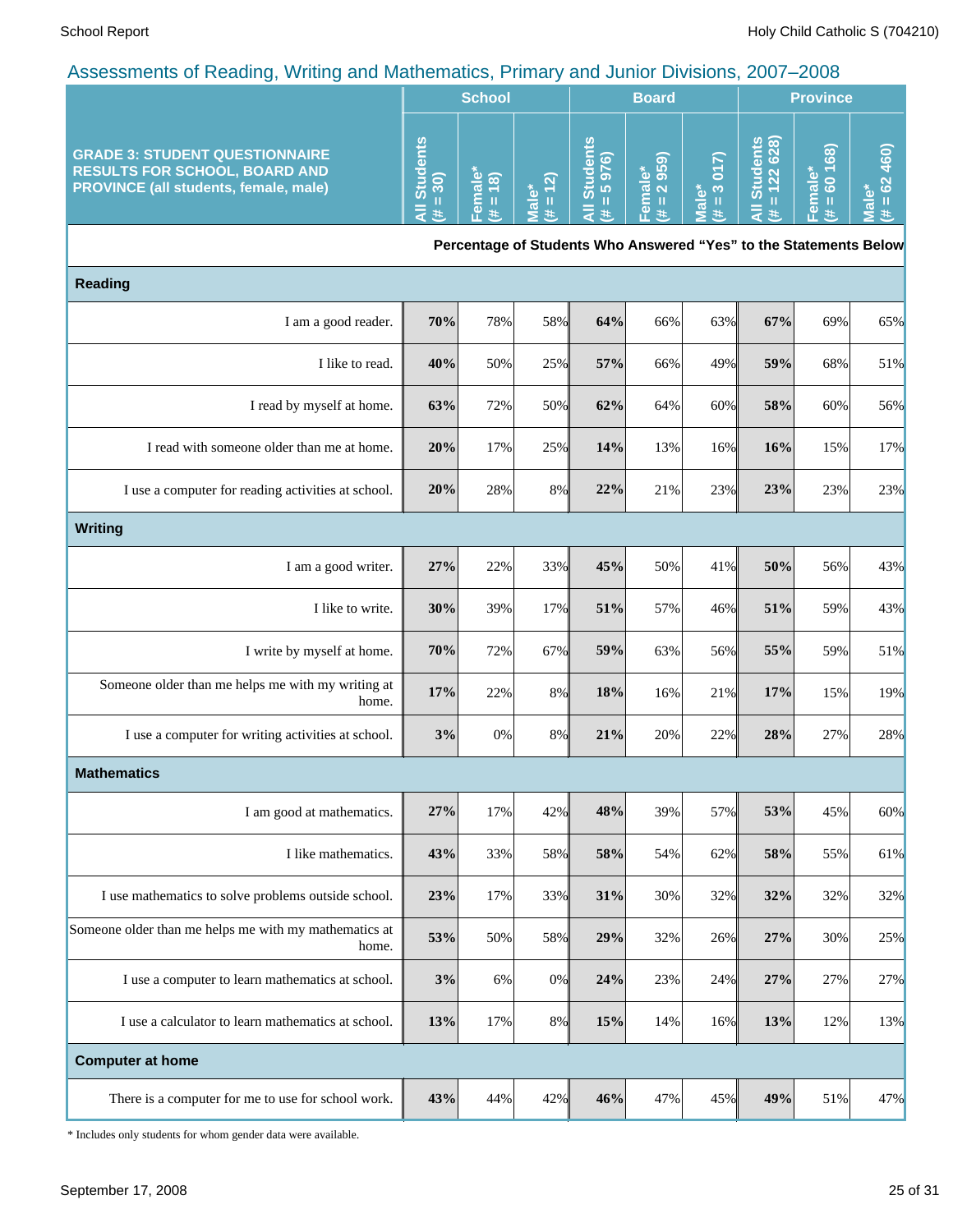|                                                                                                                               | <b>School</b>                                   |    |  | <b>Board</b>        |                                             |             | <b>Province</b>                        |                                         |   |
|-------------------------------------------------------------------------------------------------------------------------------|-------------------------------------------------|----|--|---------------------|---------------------------------------------|-------------|----------------------------------------|-----------------------------------------|---|
| <b>GRADE 3: STUDENT QUESTIONNAIRE</b><br><b>RESULTS FOR SCHOOL, BOARD AND</b><br><b>PROVINCE (all students, female, male)</b> | ပ္သ<br>$\overline{\mathbf{a}}$<br>Stud<br>: 30) | юI |  | y<br><b>LO</b><br>あ | <b>LO</b><br>മ ത<br>$\overline{a}$ $\alpha$ | ò<br>ന<br>ത | ၹ<br>Ω.<br>බ<br>$\bar{\sigma}$ N<br>შ, | 68<br>ъ<br>$\bigcirc$<br><b>CO</b><br>ത | 6 |

**Percentage of Students Who Answered "Yes" to the Statements Below**

| <b>Reading</b>                                                 |     |     |       |     |     |     |     |     |     |  |
|----------------------------------------------------------------|-----|-----|-------|-----|-----|-----|-----|-----|-----|--|
| I am a good reader.                                            | 70% | 78% | 58%   | 64% | 66% | 63% | 67% | 69% | 65% |  |
| I like to read.                                                | 40% | 50% | 25%   | 57% | 66% | 49% | 59% | 68% | 51% |  |
| I read by myself at home.                                      | 63% | 72% | 50%   | 62% | 64% | 60% | 58% | 60% | 56% |  |
| I read with someone older than me at home.                     | 20% | 17% | 25%   | 14% | 13% | 16% | 16% | 15% | 17% |  |
| I use a computer for reading activities at school.             | 20% | 28% | 8%    | 22% | 21% | 23% | 23% | 23% | 23% |  |
| <b>Writing</b>                                                 |     |     |       |     |     |     |     |     |     |  |
| I am a good writer.                                            | 27% | 22% | 33%   | 45% | 50% | 41% | 50% | 56% | 43% |  |
| I like to write.                                               | 30% | 39% | 17%   | 51% | 57% | 46% | 51% | 59% | 43% |  |
| I write by myself at home.                                     | 70% | 72% | 67%   | 59% | 63% | 56% | 55% | 59% | 51% |  |
| Someone older than me helps me with my writing at<br>home.     | 17% | 22% | 8%    | 18% | 16% | 21% | 17% | 15% | 19% |  |
| I use a computer for writing activities at school.             | 3%  | 0%  | 8%    | 21% | 20% | 22% | 28% | 27% | 28% |  |
| <b>Mathematics</b>                                             |     |     |       |     |     |     |     |     |     |  |
| I am good at mathematics.                                      | 27% | 17% | 42%   | 48% | 39% | 57% | 53% | 45% | 60% |  |
| I like mathematics.                                            | 43% | 33% | 58%   | 58% | 54% | 62% | 58% | 55% | 61% |  |
| I use mathematics to solve problems outside school.            | 23% | 17% | 33%   | 31% | 30% | 32% | 32% | 32% | 32% |  |
| Someone older than me helps me with my mathematics at<br>home. | 53% | 50% | 58%   | 29% | 32% | 26% | 27% | 30% | 25% |  |
| I use a computer to learn mathematics at school.               | 3%  | 6%  | $0\%$ | 24% | 23% | 24% | 27% | 27% | 27% |  |
| I use a calculator to learn mathematics at school.             | 13% | 17% | 8%    | 15% | 14% | 16% | 13% | 12% | 13% |  |
| <b>Computer at home</b>                                        |     |     |       |     |     |     |     |     |     |  |
| There is a computer for me to use for school work.             | 43% | 44% | 42%   | 46% | 47% | 45% | 49% | 51% | 47% |  |

\* Includes only students for whom gender data were available.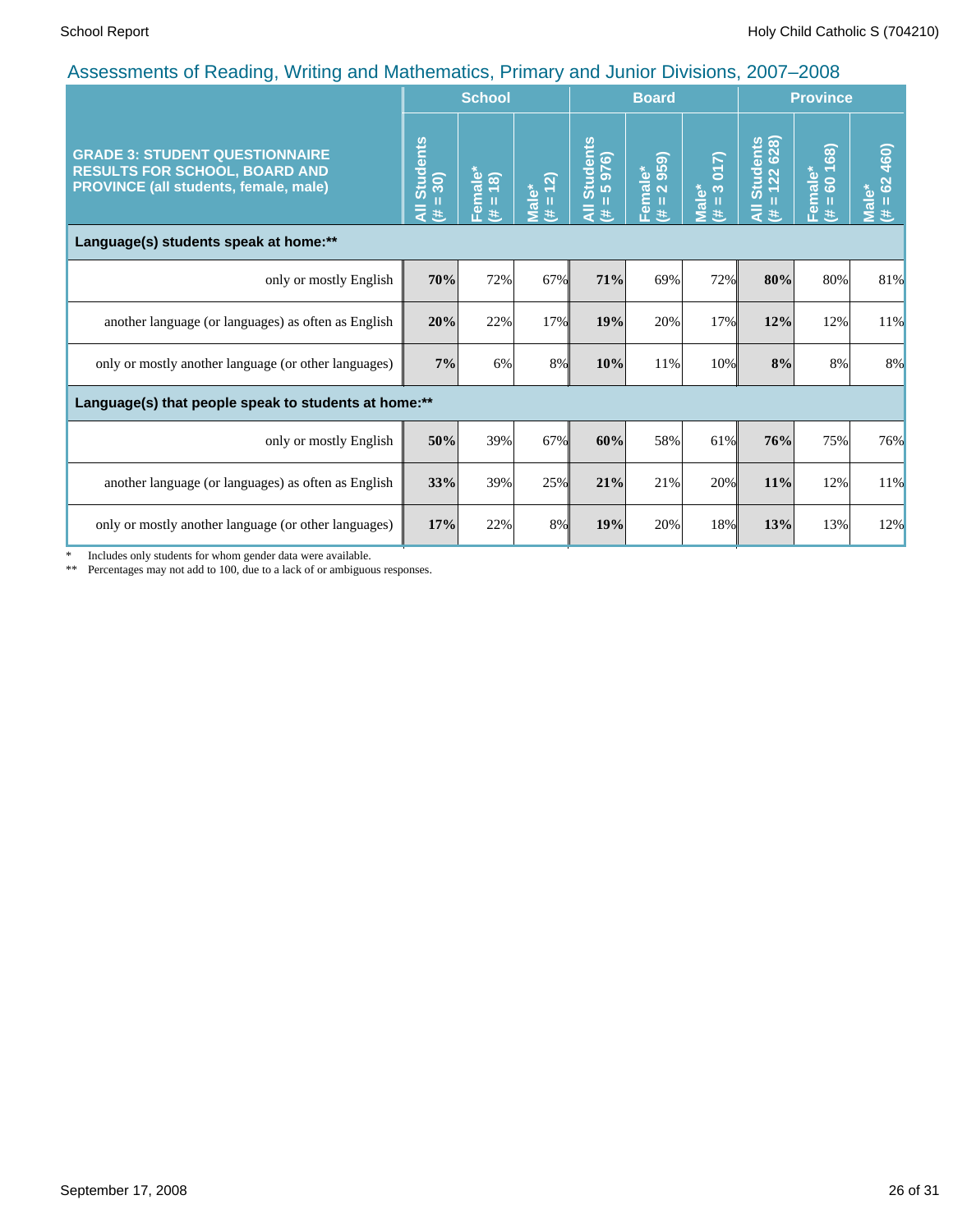| $\overline{a}$ to coordinate of troughtly, friends and mathematics, it in the $\overline{y}$ and cannot birrichly, 2007 |                                      | <b>School</b>          |                                 |                                                       | <b>Board</b>           |                                     | <b>Province</b>                              |                                |                            |  |
|-------------------------------------------------------------------------------------------------------------------------|--------------------------------------|------------------------|---------------------------------|-------------------------------------------------------|------------------------|-------------------------------------|----------------------------------------------|--------------------------------|----------------------------|--|
| <b>GRADE 3: STUDENT QUESTIONNAIRE</b><br><b>RESULTS FOR SCHOOL, BOARD AND</b><br>PROVINCE (all students, female, male)  | <b>Students</b><br>$= 30$<br>₹<br>y. | Female*<br>$(\# = 18)$ | $\boxed{2}$<br>Male*<br>(# = 1: | <b>Students</b><br>976)<br>LO.<br>п<br>$\bar{a}$<br>违 | Female*<br>(# = 2 959) | 3017)<br>Male*<br>$\mathbf{H}$<br>羊 | <b>Students</b><br>= 122 628)<br>П<br>₹<br>违 | 168)<br>Female*<br>8<br>Ш<br># | 62 460)<br>Male*<br>Ш<br>违 |  |
| Language(s) students speak at home:**                                                                                   |                                      |                        |                                 |                                                       |                        |                                     |                                              |                                |                            |  |
| only or mostly English                                                                                                  | 70%                                  | 72%                    | 67%                             | 71%                                                   | 69%                    | 72%                                 | 80%                                          | 80%                            | 81%                        |  |
| another language (or languages) as often as English                                                                     | 20%                                  | 22%                    | 17%                             | 19%                                                   | 20%                    | 17%                                 | 12%                                          | 12%                            | 11%                        |  |
| only or mostly another language (or other languages)                                                                    | 7%                                   | 6%                     | 8%                              | 10%                                                   | 11%                    | 10%                                 | 8%                                           | 8%                             | 8%                         |  |
| Language(s) that people speak to students at home:**                                                                    |                                      |                        |                                 |                                                       |                        |                                     |                                              |                                |                            |  |
| only or mostly English                                                                                                  | 50%                                  | 39%                    | 67%                             | 60%                                                   | 58%                    | 61%                                 | 76%                                          | 75%                            | 76%                        |  |
| another language (or languages) as often as English                                                                     | 33%                                  | 39%                    | 25%                             | 21%                                                   | 21%                    | 20%                                 | 11%                                          | 12%                            | 11%                        |  |
| only or mostly another language (or other languages)                                                                    | 17%                                  | 22%                    | 8%                              | 19%                                                   | 20%                    | 18%                                 | 13%                                          | 13%                            | 12%                        |  |

\* Includes only students for whom gender data were available.

\*\* Percentages may not add to 100, due to a lack of or ambiguous responses.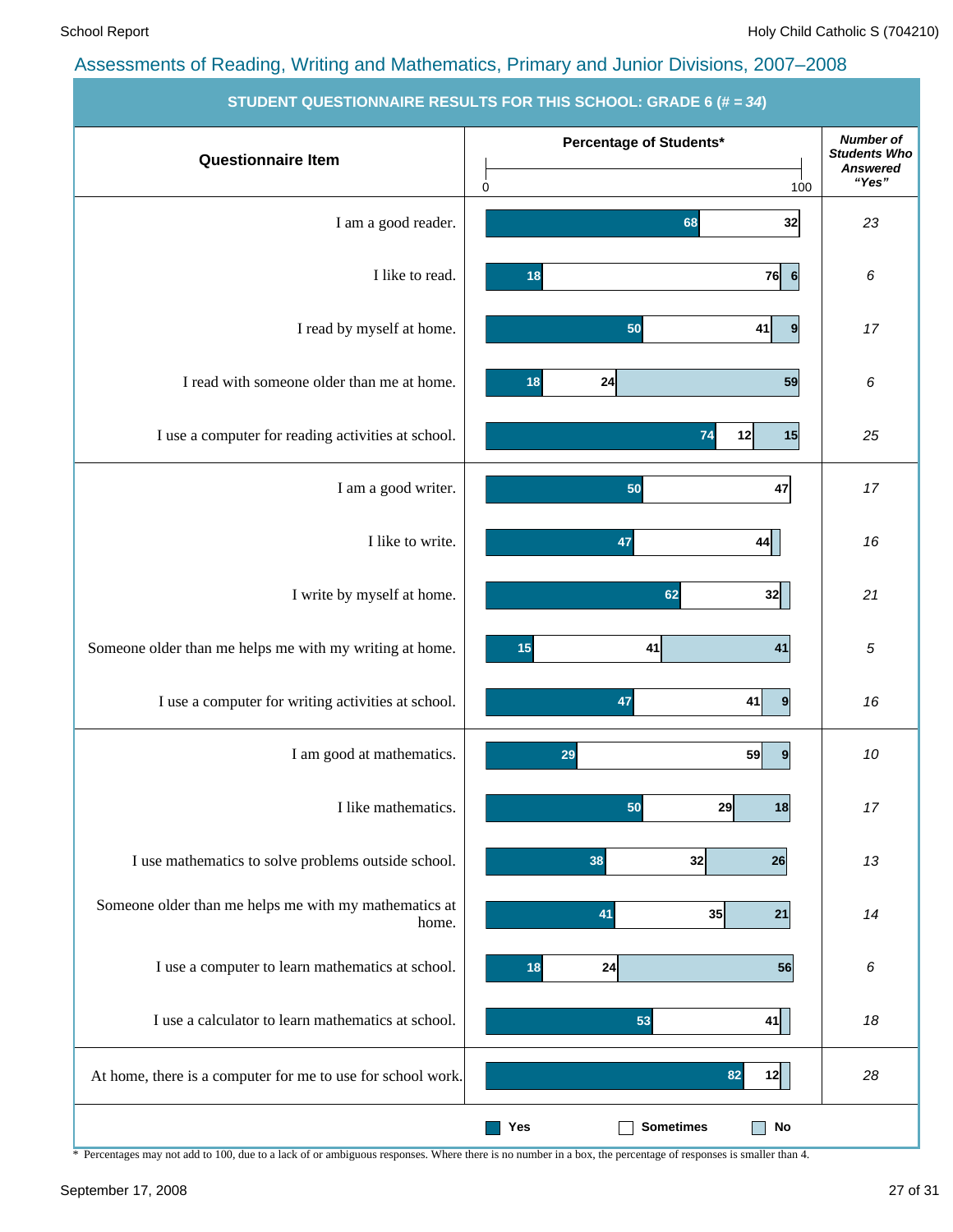| ______________________                                         | <u> 2000 - 2000 - 2000 - 2000 - 2000 - 2000 - 20</u> |                                                                     |
|----------------------------------------------------------------|------------------------------------------------------|---------------------------------------------------------------------|
| <b>Questionnaire Item</b>                                      | Percentage of Students*<br>0<br>100                  | <b>Number of</b><br><b>Students Who</b><br><b>Answered</b><br>"Yes" |
| I am a good reader.                                            | 32<br>68                                             | 23                                                                  |
| I like to read.                                                | $76$ 6<br>18                                         | 6                                                                   |
| I read by myself at home.                                      | 50<br>41<br>9                                        | 17                                                                  |
| I read with someone older than me at home.                     | 59<br>24<br>18                                       | 6                                                                   |
| I use a computer for reading activities at school.             | 15<br>74<br>12                                       | 25                                                                  |
| I am a good writer.                                            | 47<br>50                                             | 17                                                                  |
| I like to write.                                               | 47<br>44                                             | 16                                                                  |
| I write by myself at home.                                     | 62<br>32                                             | 21                                                                  |
| Someone older than me helps me with my writing at home.        | 41<br>15<br>41                                       | 5                                                                   |
| I use a computer for writing activities at school.             | 47<br>41<br>9                                        | 16                                                                  |
| I am good at mathematics.                                      | 59<br>29<br>9                                        | 10                                                                  |
| I like mathematics.                                            | 29<br>50<br>18                                       | 17                                                                  |
| I use mathematics to solve problems outside school.            | 38<br>32<br>26                                       | 13                                                                  |
| Someone older than me helps me with my mathematics at<br>home. | 41<br>35<br>21                                       | 14                                                                  |
| I use a computer to learn mathematics at school.               | 24<br>18<br>56                                       | 6                                                                   |
| I use a calculator to learn mathematics at school.             | 53<br>41                                             | 18                                                                  |
| At home, there is a computer for me to use for school work.    | 82<br>12                                             | 28                                                                  |
|                                                                | <b>Sometimes</b><br>No<br>Yes                        |                                                                     |

**STUDENT QUESTIONNAIRE RESULTS FOR THIS SCHOOL: GRADE 6 (# =** *34***)**

\* Percentages may not add to 100, due to a lack of or ambiguous responses. Where there is no number in a box, the percentage of responses is smaller than 4.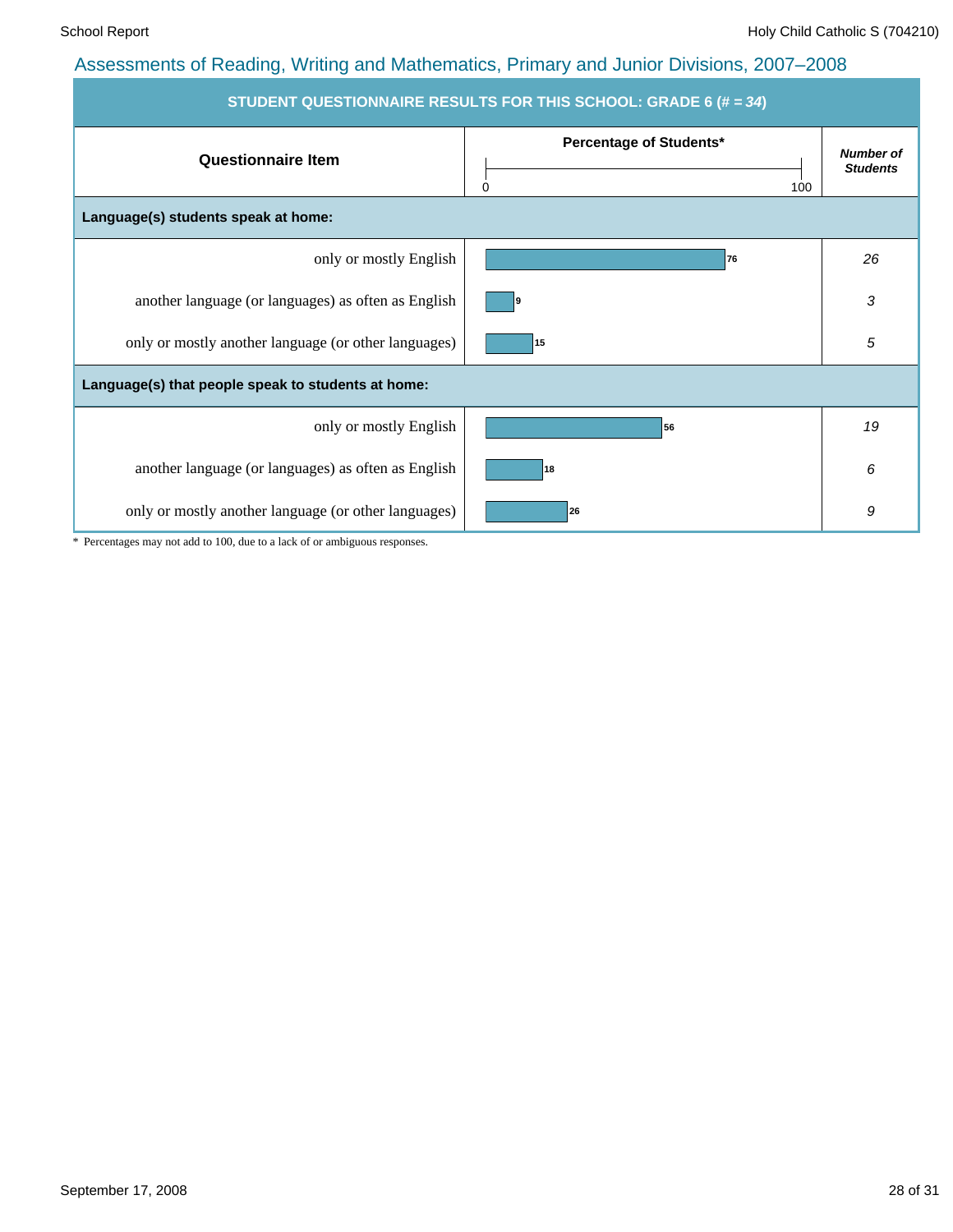| STUDENT QUESTIONNAIRE RESULTS FOR THIS SCHOOL: GRADE 6 (# = 34) |                                     |                                     |  |  |  |  |  |  |  |
|-----------------------------------------------------------------|-------------------------------------|-------------------------------------|--|--|--|--|--|--|--|
| <b>Questionnaire Item</b>                                       | Percentage of Students*<br>100<br>0 | <b>Number of</b><br><b>Students</b> |  |  |  |  |  |  |  |
| Language(s) students speak at home:                             |                                     |                                     |  |  |  |  |  |  |  |
| only or mostly English                                          | 76                                  | 26                                  |  |  |  |  |  |  |  |
| another language (or languages) as often as English             |                                     | 3                                   |  |  |  |  |  |  |  |
| only or mostly another language (or other languages)            | 15                                  | 5                                   |  |  |  |  |  |  |  |
| Language(s) that people speak to students at home:              |                                     |                                     |  |  |  |  |  |  |  |
| only or mostly English                                          | 56                                  | 19                                  |  |  |  |  |  |  |  |
| another language (or languages) as often as English             | 18                                  | 6                                   |  |  |  |  |  |  |  |
| only or mostly another language (or other languages)            | 26                                  | 9                                   |  |  |  |  |  |  |  |

\* Percentages may not add to 100, due to a lack of or ambiguous responses.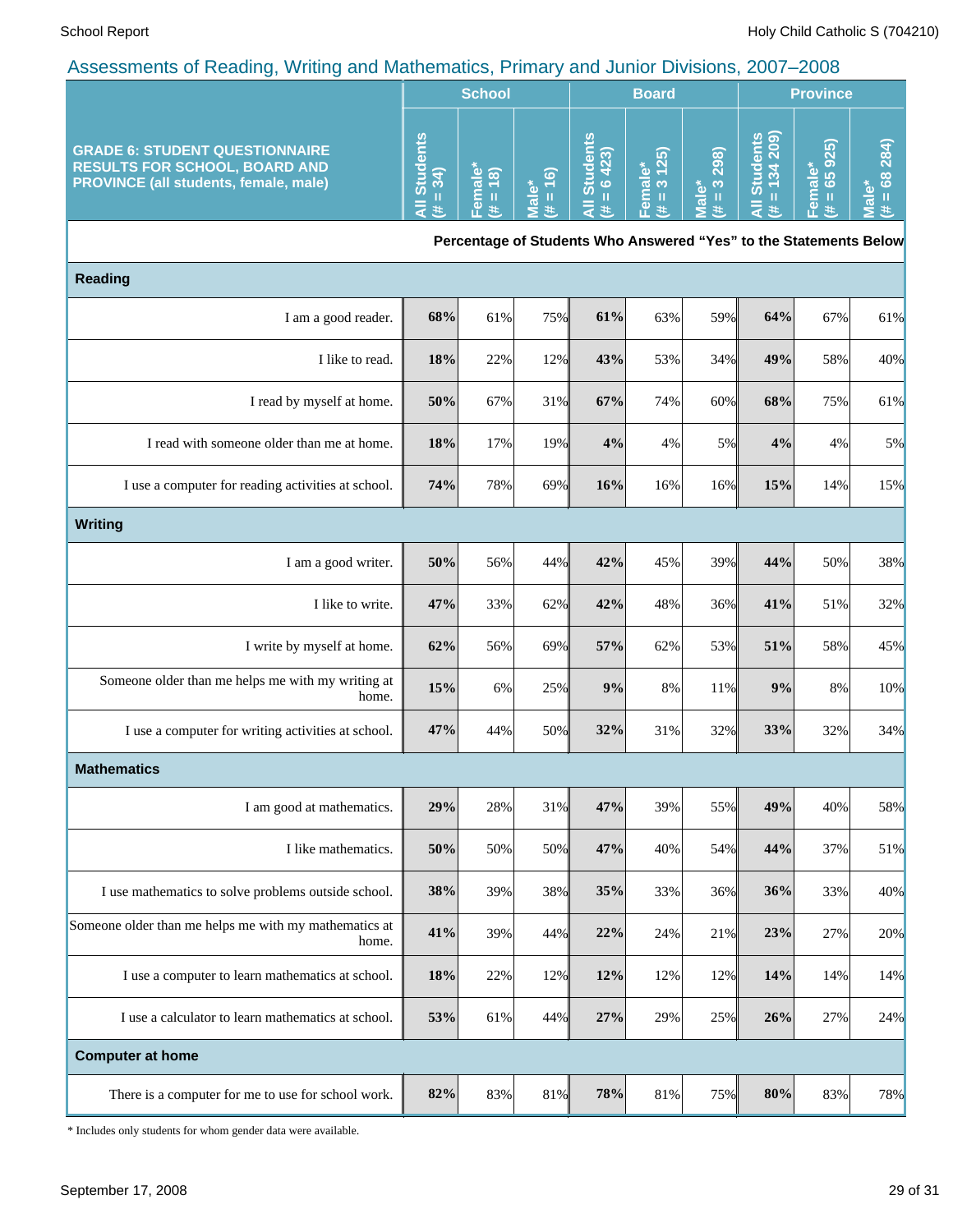|                                                                                                                               |                                        | <b>School</b>                                                                                                                                                                                                                                                              |                                                    |                                   | <b>Board</b>           |                                                | <b>Province</b>                                                                                                                                                                                   |                                        |                                                            |
|-------------------------------------------------------------------------------------------------------------------------------|----------------------------------------|----------------------------------------------------------------------------------------------------------------------------------------------------------------------------------------------------------------------------------------------------------------------------|----------------------------------------------------|-----------------------------------|------------------------|------------------------------------------------|---------------------------------------------------------------------------------------------------------------------------------------------------------------------------------------------------|----------------------------------------|------------------------------------------------------------|
| <b>GRADE 6: STUDENT QUESTIONNAIRE</b><br><b>RESULTS FOR SCHOOL, BOARD AND</b><br><b>PROVINCE (all students, female, male)</b> | <b>Students</b><br>$(1)$<br>$(1)$<br>₹ | Female*<br>(8)<br>$\mathbf{H}% =\mathbf{H}^{T}\mathbf{v}^{T}\mathbf{v}^{T}\mathbf{v}^{T}+\mathbf{H}^{T}\mathbf{v}^{T}\mathbf{v}^{T}+\mathbf{H}^{T}\mathbf{v}^{T}\mathbf{v}^{T}+\mathbf{H}^{T}\mathbf{v}^{T}\mathbf{v}^{T}+\mathbf{H}^{T}\mathbf{v}^{T}\mathbf{v}^{T}$<br>£ | $= 16$<br>$\mathbf{b}$<br>$\bar{\bar{\mathbf{c}}}$ | <b>Students</b><br>6423<br>Ш<br>违 | Female*<br>(# = 3 125) | $= 3298$<br>$\mathbf{\mathring{e}}$<br>ΦÑ<br># | Students<br>= 134 209)<br>$\mathbf{H}% =\mathbf{H}^{T}\mathbf{v}^{T}\mathbf{v}^{T}\mathbf{v}^{T}+\mathbf{H}^{T}\mathbf{v}^{T}\mathbf{v}^{T}+\mathbf{H}^{T}\mathbf{v}^{T}\mathbf{v}^{T}$<br>₹<br>共 | 65 925)<br>Female*<br>$\mathbf H$<br>共 | 68 284)<br>ັບ<br>$\rm H$<br>$\overline{\mathfrak{a}}$<br>共 |
|                                                                                                                               |                                        |                                                                                                                                                                                                                                                                            |                                                    |                                   |                        |                                                | Percentage of Students Who Answered "Yes" to the Statements Below                                                                                                                                 |                                        |                                                            |
| <b>Reading</b>                                                                                                                |                                        |                                                                                                                                                                                                                                                                            |                                                    |                                   |                        |                                                |                                                                                                                                                                                                   |                                        |                                                            |
| I am a good reader.                                                                                                           | 68%                                    | 61%                                                                                                                                                                                                                                                                        | 75%                                                | 61%                               | 63%                    | 59%                                            | 64%                                                                                                                                                                                               | 67%                                    | 61%                                                        |
| I like to read.                                                                                                               | 18%                                    | 22%                                                                                                                                                                                                                                                                        | 12%                                                | 43%                               | 53%                    | 34%                                            | 49%                                                                                                                                                                                               | 58%                                    | 40%                                                        |
| I read by myself at home.                                                                                                     | 50%                                    | 67%                                                                                                                                                                                                                                                                        | 31%                                                | 67%                               | 74%                    | 60%                                            | 68%                                                                                                                                                                                               | 75%                                    | 61%                                                        |
| I read with someone older than me at home.                                                                                    | 18%                                    | 17%                                                                                                                                                                                                                                                                        | 19%                                                | 4%                                | 4%                     | 5%                                             | 4%                                                                                                                                                                                                | 4%                                     | 5%                                                         |
| I use a computer for reading activities at school.                                                                            | 74%                                    | 78%                                                                                                                                                                                                                                                                        | 69%                                                | 16%                               | 16%                    | 16%                                            | 15%                                                                                                                                                                                               | 14%                                    | 15%                                                        |
| <b>Writing</b>                                                                                                                |                                        |                                                                                                                                                                                                                                                                            |                                                    |                                   |                        |                                                |                                                                                                                                                                                                   |                                        |                                                            |
| I am a good writer.                                                                                                           | 50%                                    | 56%                                                                                                                                                                                                                                                                        | 44%                                                | 42%                               | 45%                    | 39%                                            | 44%                                                                                                                                                                                               | 50%                                    | 38%                                                        |
| I like to write.                                                                                                              | 47%                                    | 33%                                                                                                                                                                                                                                                                        | 62%                                                | 42%                               | 48%                    | 36%                                            | 41%                                                                                                                                                                                               | 51%                                    | 32%                                                        |
| I write by myself at home.                                                                                                    | 62%                                    | 56%                                                                                                                                                                                                                                                                        | 69%                                                | 57%                               | 62%                    | 53%                                            | 51%                                                                                                                                                                                               | 58%                                    | 45%                                                        |
| Someone older than me helps me with my writing at<br>home.                                                                    | 15%                                    | 6%                                                                                                                                                                                                                                                                         | 25%                                                | 9%                                | 8%                     | 11%                                            | 9%                                                                                                                                                                                                | 8%                                     | 10%                                                        |
| I use a computer for writing activities at school.                                                                            | 47%                                    | 44%                                                                                                                                                                                                                                                                        | 50%                                                | 32%                               | 31%                    | 32%                                            | 33%                                                                                                                                                                                               | 32%                                    | 34%                                                        |
| <b>Mathematics</b>                                                                                                            |                                        |                                                                                                                                                                                                                                                                            |                                                    |                                   |                        |                                                |                                                                                                                                                                                                   |                                        |                                                            |
| I am good at mathematics.                                                                                                     | 29%                                    | 28%                                                                                                                                                                                                                                                                        | 31%                                                | 47%                               | 39%                    | 55%                                            | 49%                                                                                                                                                                                               | 40%                                    | 58%                                                        |
| I like mathematics.                                                                                                           | 50%                                    | 50%                                                                                                                                                                                                                                                                        | 50%                                                | 47%                               | 40%                    | 54%                                            | 44%                                                                                                                                                                                               | 37%                                    | 51%                                                        |
| I use mathematics to solve problems outside school.                                                                           | 38%                                    | 39%                                                                                                                                                                                                                                                                        | 38%                                                | 35%                               | 33%                    | 36%                                            | 36%                                                                                                                                                                                               | 33%                                    | 40%                                                        |
| Someone older than me helps me with my mathematics at<br>home.                                                                | 41%                                    | 39%                                                                                                                                                                                                                                                                        | 44%                                                | 22%                               | 24%                    | 21%                                            | 23%                                                                                                                                                                                               | 27%                                    | 20%                                                        |
| I use a computer to learn mathematics at school.                                                                              | 18%                                    | 22%                                                                                                                                                                                                                                                                        | 12%                                                | 12%                               | 12%                    | 12%                                            | 14%                                                                                                                                                                                               | 14%                                    | 14%                                                        |
| I use a calculator to learn mathematics at school.                                                                            | 53%                                    | 61%                                                                                                                                                                                                                                                                        | 44%                                                | 27%                               | 29%                    | 25%                                            | 26%                                                                                                                                                                                               | 27%                                    | 24%                                                        |
| <b>Computer at home</b>                                                                                                       |                                        |                                                                                                                                                                                                                                                                            |                                                    |                                   |                        |                                                |                                                                                                                                                                                                   |                                        |                                                            |
| There is a computer for me to use for school work.                                                                            | 82%                                    | 83%                                                                                                                                                                                                                                                                        | 81%                                                | 78%                               | 81%                    | 75%                                            | $80\%$                                                                                                                                                                                            | 83%                                    | 78%                                                        |

\* Includes only students for whom gender data were available.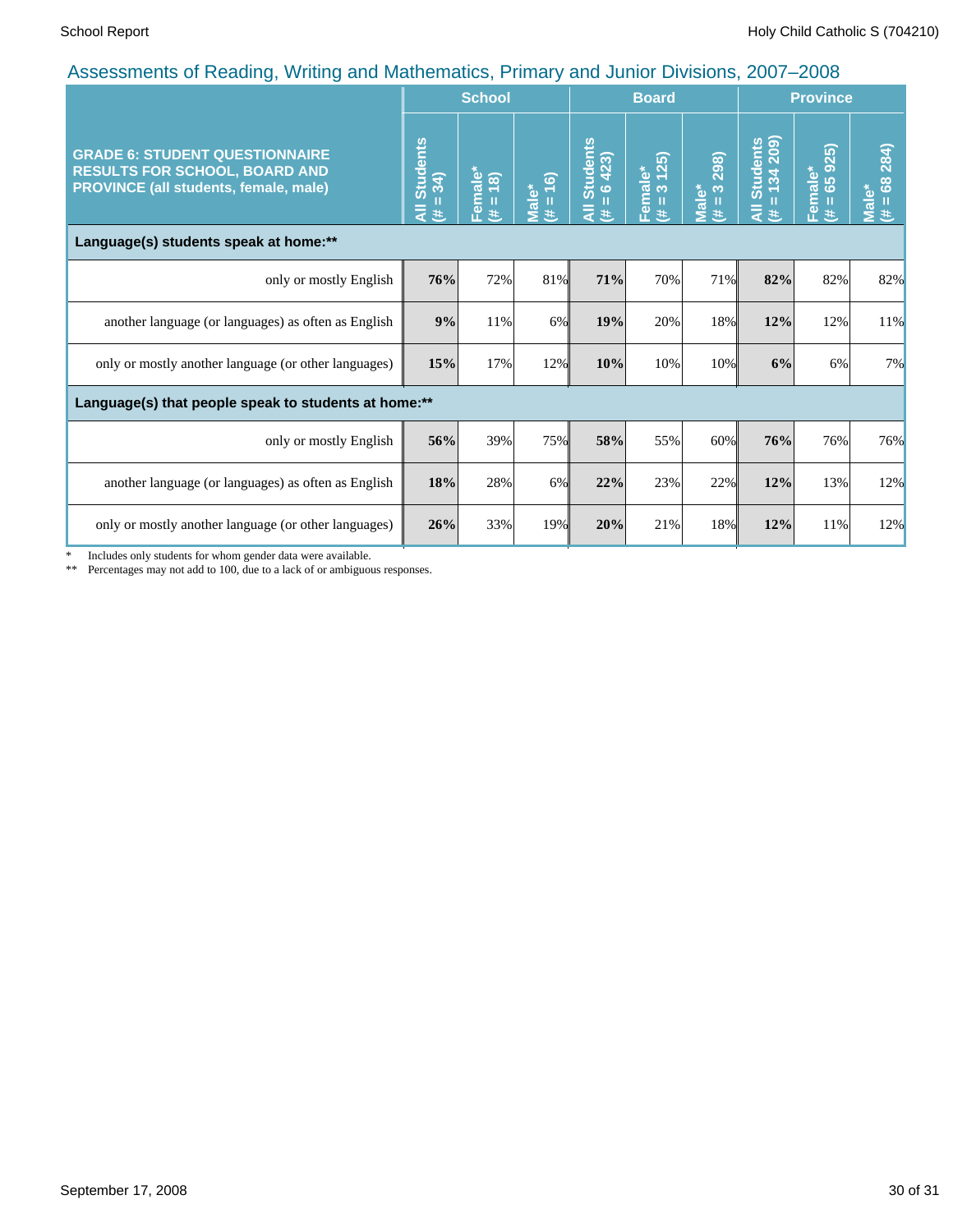|                                                                                                                        |                                             | <b>School</b>            |                                   |                                                 | <b>Board</b>                         |                                     | <b>Province</b>                       |                                      |                                                 |
|------------------------------------------------------------------------------------------------------------------------|---------------------------------------------|--------------------------|-----------------------------------|-------------------------------------------------|--------------------------------------|-------------------------------------|---------------------------------------|--------------------------------------|-------------------------------------------------|
| <b>GRADE 6: STUDENT QUESTIONNAIRE</b><br><b>RESULTS FOR SCHOOL, BOARD AND</b><br>PROVINCE (all students, female, male) | <b>Students</b><br>$=34$<br>$\bar{a}$<br>Ë, | Female*<br>(8)<br>Ш<br>共 | (6)<br>Male*<br>$\mathbf{u}$<br>巷 | <b>Students</b><br>6423)<br>п<br>$\bar{a}$<br>违 | 25)<br>Female*<br>$\infty$<br>Ш<br>共 | 298)<br>$\infty$<br>Male*<br>Ш<br>巷 | Students<br>= 134 209)<br>Ш<br>₹<br>违 | male*<br>= 65 925)<br>$\bar{e}$<br>共 | 284)<br>$\frac{8}{2}$<br><b>Male*</b><br>Ш<br>进 |
| Language(s) students speak at home:**                                                                                  |                                             |                          |                                   |                                                 |                                      |                                     |                                       |                                      |                                                 |
| only or mostly English                                                                                                 | 76%                                         | 72%                      | 81%                               | 71%                                             | 70%                                  | 71%                                 | 82%                                   | 82%                                  | 82%                                             |
| another language (or languages) as often as English                                                                    | 9%                                          | 11%                      | 6%                                | 19%                                             | 20%                                  | 18%                                 | 12%                                   | 12%                                  | 11%                                             |
| only or mostly another language (or other languages)                                                                   | 15%                                         | 17%                      | 12%                               | 10%                                             | 10%                                  | 10%                                 | 6%                                    | 6%                                   | 7%                                              |
| Language(s) that people speak to students at home:**                                                                   |                                             |                          |                                   |                                                 |                                      |                                     |                                       |                                      |                                                 |
| only or mostly English                                                                                                 | 56%                                         | 39%                      | 75%                               | 58%                                             | 55%                                  | 60%                                 | 76%                                   | 76%                                  | 76%                                             |
| another language (or languages) as often as English                                                                    | 18%                                         | 28%                      | 6%                                | 22%                                             | 23%                                  | 22%                                 | 12%                                   | 13%                                  | 12%                                             |
| only or mostly another language (or other languages)                                                                   | 26%                                         | 33%                      | 19%                               | 20%                                             | 21%                                  | 18%                                 | 12%                                   | 11%                                  | 12%                                             |

\* Includes only students for whom gender data were available.

\*\* Percentages may not add to 100, due to a lack of or ambiguous responses.